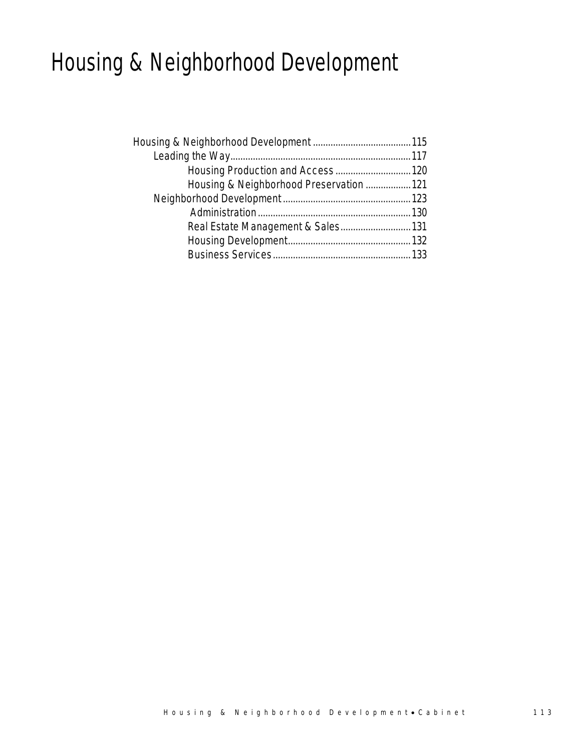# Housing & Neighborhood Development

| Housing Production and Access 120        |  |
|------------------------------------------|--|
| Housing & Neighborhood Preservation  121 |  |
|                                          |  |
|                                          |  |
|                                          |  |
|                                          |  |
|                                          |  |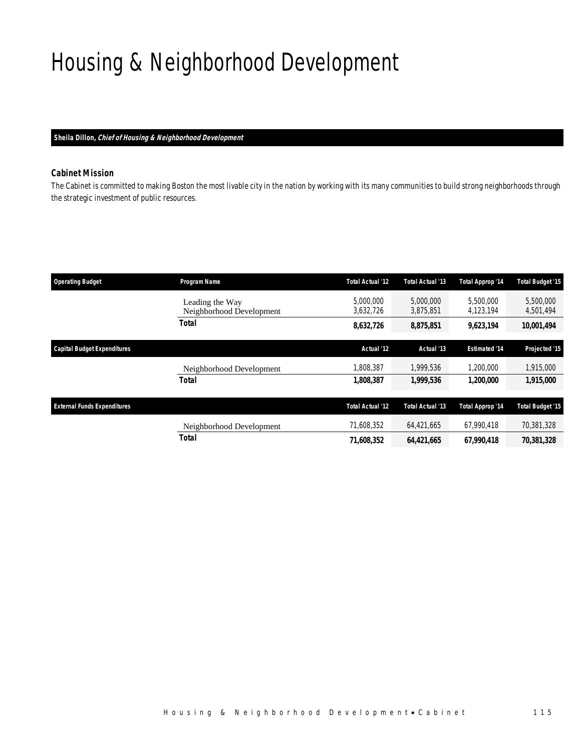# Housing & Neighborhood Development

## *Sheila Dillon, Chief of Housing & Neighborhood Development*

## *Cabinet Mission*

The Cabinet is committed to making Boston the most livable city in the nation by working with its many communities to build strong neighborhoods through the strategic investment of public resources.

| <b>Operating Budget</b>            | Program Name                                | Total Actual '12       | <b>Total Actual '13</b> | Total Approp '14       | <b>Total Budget '15</b> |
|------------------------------------|---------------------------------------------|------------------------|-------------------------|------------------------|-------------------------|
|                                    | Leading the Way<br>Neighborhood Development | 5,000,000<br>3.632.726 | 5,000,000<br>3,875,851  | 5,500,000<br>4,123,194 | 5,500,000<br>4,501,494  |
|                                    | <b>Total</b>                                | 8,632,726              | 8,875,851               | 9,623,194              | 10,001,494              |
| <b>Capital Budget Expenditures</b> |                                             | Actual '12             | Actual '13              | <b>Estimated '14</b>   | Projected '15           |
|                                    | Neighborhood Development                    | ,808,387               | 1.999.536               | 1.200.000              | 1,915,000               |
|                                    | <b>Total</b>                                | 1,808,387              | 1,999,536               | <i>1,200,000</i>       | 1,915,000               |
| <b>External Funds Expenditures</b> |                                             | Total Actual '12       | <b>Total Actual '13</b> | Total Approp '14       | <b>Total Budget '15</b> |
|                                    | Neighborhood Development                    | 71,608,352             | 64,421,665              | 67.990.418             | 70,381,328              |
|                                    | <b>Total</b>                                | 71,608,352             | 64,421,665              | 67,990,418             | 70,381,328              |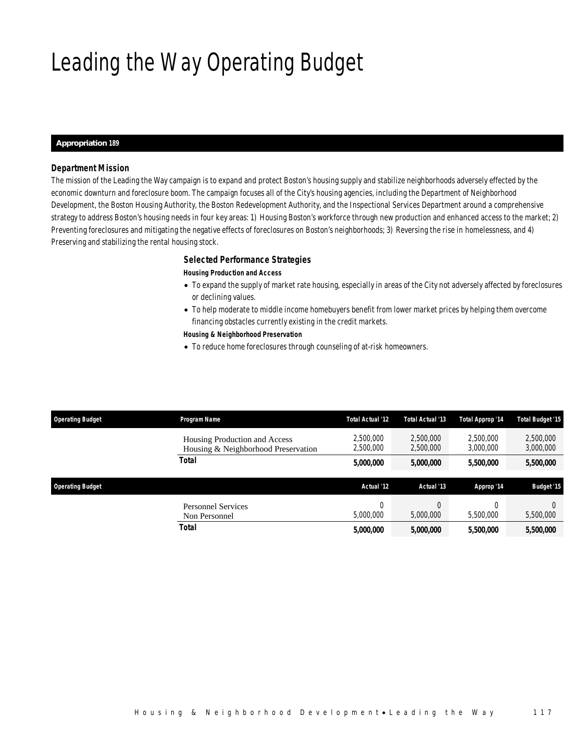# Leading the Way Operating Budget

## *Appropriation 189*

## *Department Mission*

The mission of the Leading the Way campaign is to expand and protect Boston's housing supply and stabilize neighborhoods adversely effected by the economic downturn and foreclosure boom. The campaign focuses all of the City's housing agencies, including the Department of Neighborhood Development, the Boston Housing Authority, the Boston Redevelopment Authority, and the Inspectional Services Department around a comprehensive strategy to address Boston's housing needs in four key areas: 1) Housing Boston's workforce through new production and enhanced access to the market; 2) Preventing foreclosures and mitigating the negative effects of foreclosures on Boston's neighborhoods; 3) Reversing the rise in homelessness, and 4) Preserving and stabilizing the rental housing stock.

## *Selected Performance Strategies*

## *Housing Production and Access*

- To expand the supply of market rate housing, especially in areas of the City not adversely affected by foreclosures or declining values.
- To help moderate to middle income homebuyers benefit from lower market prices by helping them overcome financing obstacles currently existing in the credit markets.

## *Housing & Neighborhood Preservation*

• To reduce home foreclosures through counseling of at-risk homeowners.

| <b>Operating Budget</b> | Program Name                                                         | <b>Total Actual '12</b>   | Total Actual '13       | Total Approp '14       | <b>Total Budget '15</b> |
|-------------------------|----------------------------------------------------------------------|---------------------------|------------------------|------------------------|-------------------------|
|                         | Housing Production and Access<br>Housing & Neighborhood Preservation | 2.500.000<br>2,500,000    | 2.500.000<br>2,500,000 | 2.500.000<br>3,000,000 | 2,500,000<br>3,000,000  |
|                         | <b>Total</b>                                                         | 5,000,000                 | 5,000,000              | 5,500,000              | 5,500,000               |
|                         |                                                                      | Actual '12                | Actual '13             |                        |                         |
| <b>Operating Budget</b> |                                                                      |                           |                        | Approp '14             | <b>Budget '15</b>       |
|                         | <b>Personnel Services</b><br>Non Personnel                           | $\mathbf{0}$<br>5,000,000 | 5,000,000              | 5,500,000              | 5,500,000               |
|                         |                                                                      |                           |                        |                        |                         |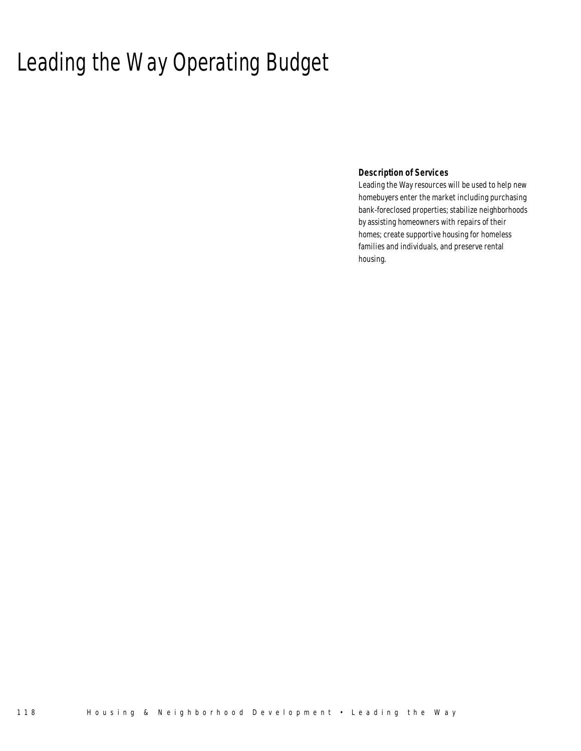# Leading the Way Operating Budget

 *Description of Services* 

Leading the Way resources will be used to help new homebuyers enter the market including purchasing bank-foreclosed properties; stabilize neighborhoods by assisting homeowners with repairs of their homes; create supportive housing for homeless families and individuals, and preserve rental housing.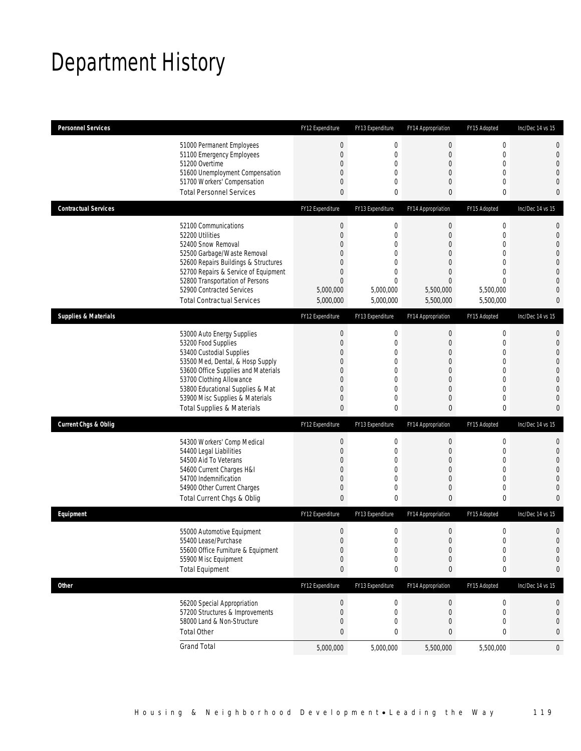# Department History

| <b>Personnel Services</b>       |                                                                                                                                                                                                                                                                                                      | FY12 Expenditure                                                                                             | FY13 Expenditure                                                                                                 | FY14 Appropriation                                                                                                     | FY15 Adopted                                                                                                                              | Inc/Dec 14 vs 15                                                              |
|---------------------------------|------------------------------------------------------------------------------------------------------------------------------------------------------------------------------------------------------------------------------------------------------------------------------------------------------|--------------------------------------------------------------------------------------------------------------|------------------------------------------------------------------------------------------------------------------|------------------------------------------------------------------------------------------------------------------------|-------------------------------------------------------------------------------------------------------------------------------------------|-------------------------------------------------------------------------------|
|                                 | 51000 Permanent Employees<br>51100 Emergency Employees<br>51200 Overtime<br>51600 Unemployment Compensation<br>51700 Workers' Compensation<br><b>Total Personnel Services</b>                                                                                                                        | $\boldsymbol{0}$<br>$\overline{0}$<br>0<br>0<br>0<br>0                                                       | $\boldsymbol{0}$<br>$\mathbf 0$<br>$\boldsymbol{0}$<br>$\mathbf{0}$<br>0<br>0                                    | $\boldsymbol{0}$<br>0<br>$\mathbf 0$<br>0<br>0<br>0                                                                    | $\boldsymbol{0}$<br>$\mathbf 0$<br>$\mathbf 0$<br>$\mathbf{0}$<br>$\mathbf{0}$<br>$\bf{0}$                                                | 0<br>0<br>$\overline{0}$<br>0<br>0<br>0                                       |
| <b>Contractual Services</b>     |                                                                                                                                                                                                                                                                                                      | FY12 Expenditure                                                                                             | FY13 Expenditure                                                                                                 | FY14 Appropriation                                                                                                     | FY15 Adopted                                                                                                                              | Inc/Dec 14 vs 15                                                              |
|                                 | 52100 Communications<br>52200 Utilities<br>52400 Snow Removal<br>52500 Garbage/Waste Removal<br>52600 Repairs Buildings & Structures<br>52700 Repairs & Service of Equipment<br>52800 Transportation of Persons<br>52900 Contracted Services<br><b>Total Contractual Services</b>                    | $\boldsymbol{0}$<br>$\mathbf{0}$<br>$\Omega$<br>0<br>$\Omega$<br>0<br>$\mathbf{0}$<br>5,000,000<br>5,000,000 | 0<br>$\mathbf 0$<br>0<br>$\overline{0}$<br>$\mathbf{0}$<br>$\mathbf 0$<br>$\mathbf{0}$<br>5,000,000<br>5,000,000 | 0<br>$\boldsymbol{0}$<br>$\overline{0}$<br>0<br>$\Omega$<br>$\overline{0}$<br>$\overline{0}$<br>5,500,000<br>5,500,000 | 0<br>$\mathbf 0$<br>$\mathbf{0}$<br>$\mathbf{0}$<br>$\mathbf{0}$<br>$\mathbf{0}$<br>$\mathbf{0}$<br>5,500,000<br>5,500,000                | 0<br>$\mathbf 0$<br>$\overline{0}$<br>0<br>0<br>$\overline{0}$<br>0<br>0<br>0 |
| <b>Supplies &amp; Materials</b> |                                                                                                                                                                                                                                                                                                      | FY12 Expenditure                                                                                             | FY13 Expenditure                                                                                                 | FY14 Appropriation                                                                                                     | FY15 Adopted                                                                                                                              | Inc/Dec 14 vs 15                                                              |
|                                 | 53000 Auto Energy Supplies<br>53200 Food Supplies<br>53400 Custodial Supplies<br>53500 Med, Dental, & Hosp Supply<br>53600 Office Supplies and Materials<br>53700 Clothing Allowance<br>53800 Educational Supplies & Mat<br>53900 Misc Supplies & Materials<br><b>Total Supplies &amp; Materials</b> | $\boldsymbol{0}$<br>$\mathbf{0}$<br>0<br>0<br>0<br>0<br>0<br>0<br>$\mathbf{0}$                               | 0<br>$\mathbf 0$<br>0<br>$\mathbf 0$<br>$\mathbf{0}$<br>$\mathbf{0}$<br>0<br>0<br>0                              | $\mathbf 0$<br>$\overline{0}$<br>0<br>0<br>$\Omega$<br>0<br>$\mathbf{0}$<br>$\overline{0}$<br>$\mathbf{0}$             | $\boldsymbol{0}$<br>$\mathbf 0$<br>$\mathbf{0}$<br>$\mathbf 0$<br>$\mathbf{0}$<br>$\mathbf{0}$<br>$\mathbf{0}$<br>$\mathbf 0$<br>$\bf{0}$ | 0<br>$\mathbf 0$<br>0<br>0<br>0<br>$\overline{0}$<br>0<br>0<br>0              |
| <b>Current Chgs &amp; Oblig</b> |                                                                                                                                                                                                                                                                                                      | FY12 Expenditure                                                                                             | FY13 Expenditure                                                                                                 | FY14 Appropriation                                                                                                     | FY15 Adopted                                                                                                                              | Inc/Dec 14 vs 15                                                              |
|                                 | 54300 Workers' Comp Medical<br>54400 Legal Liabilities<br>54500 Aid To Veterans<br>54600 Current Charges H&I<br>54700 Indemnification<br>54900 Other Current Charges<br>Total Current Chgs & Oblig                                                                                                   | $\boldsymbol{0}$<br>$\boldsymbol{0}$<br>0<br>0<br>$\overline{0}$<br>$\mathbf 0$<br>$\mathbf{0}$              | 0<br>$\mathbf 0$<br>0<br>$\mathbf 0$<br>$\mathbf{0}$<br>$\mathbf 0$<br>$\mathbf 0$                               | $\boldsymbol{0}$<br>$\boldsymbol{0}$<br>0<br>$\mathbf 0$<br>$\overline{0}$<br>0<br>$\overline{0}$                      | 0<br>$\mathbf 0$<br>$\mathbf{0}$<br>$\mathbf 0$<br>$\mathbf{0}$<br>$\mathbf 0$<br>$\bf{0}$                                                | 0<br>$\mathbf 0$<br>0<br>0<br>0<br>$\mathbf 0$<br>0                           |
| Equipment                       |                                                                                                                                                                                                                                                                                                      | FY12 Expenditure                                                                                             | FY13 Expenditure                                                                                                 | FY14 Appropriation                                                                                                     | FY15 Adopted                                                                                                                              | Inc/Dec 14 vs 15                                                              |
|                                 | 55000 Automotive Equipment<br>55400 Lease/Purchase<br>55600 Office Furniture & Equipment<br>55900 Misc Equipment<br><b>Total Equipment</b>                                                                                                                                                           | $\boldsymbol{0}$<br>$\Omega$<br>$\boldsymbol{0}$<br>$\mathbf 0$<br>$\pmb{0}$                                 | 0<br>$\mathbf 0$<br>0<br>$\boldsymbol{0}$<br>0                                                                   | $\mathbf 0$<br>$\overline{0}$<br>$\boldsymbol{0}$<br>$\boldsymbol{0}$<br>0                                             | $\boldsymbol{0}$<br>$\mathbf 0$<br>$\boldsymbol{0}$<br>$\boldsymbol{0}$<br>0                                                              | 0<br>$\mathbf{0}$<br>$\mathbf 0$<br>0<br>0                                    |
| <b>Other</b>                    |                                                                                                                                                                                                                                                                                                      | FY12 Expenditure                                                                                             | FY13 Expenditure                                                                                                 | FY14 Appropriation                                                                                                     | FY15 Adopted                                                                                                                              | Inc/Dec 14 vs 15                                                              |
|                                 | 56200 Special Appropriation<br>57200 Structures & Improvements<br>58000 Land & Non-Structure<br><b>Total Other</b>                                                                                                                                                                                   | $\boldsymbol{0}$<br>$\mathbf 0$<br>0<br>$\pmb{0}$                                                            | 0<br>0<br>0<br>0                                                                                                 | $\boldsymbol{0}$<br>$\mathbf 0$<br>$\mathbf 0$<br>0                                                                    | 0<br>0<br>$\mathbf 0$<br>0                                                                                                                | 0<br>0<br>0<br>0                                                              |
|                                 | <b>Grand Total</b>                                                                                                                                                                                                                                                                                   | 5,000,000                                                                                                    | 5,000,000                                                                                                        | 5,500,000                                                                                                              | 5,500,000                                                                                                                                 | 0                                                                             |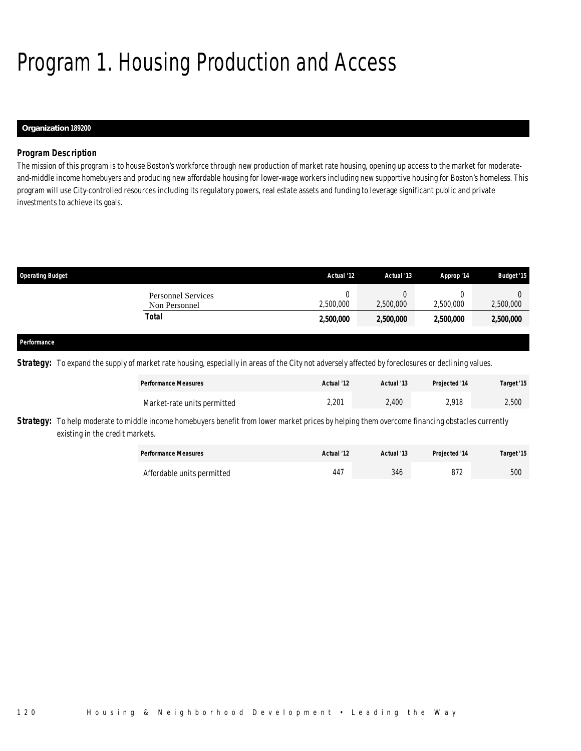# Program 1. Housing Production and Access

## *Organization 189200*

## *Program Description*

The mission of this program is to house Boston's workforce through new production of market rate housing, opening up access to the market for moderateand-middle income homebuyers and producing new affordable housing for lower-wage workers including new supportive housing for Boston's homeless. This program will use City-controlled resources including its regulatory powers, real estate assets and funding to leverage significant public and private investments to achieve its goals.

| υ         |           |           |
|-----------|-----------|-----------|
| 2,500,000 | 2,500,000 | 2,500,000 |
| 2,500,000 | 2,500,000 | 2,500,000 |
|           |           |           |
|           |           |           |

**Strategy:** To expand the supply of market rate housing, especially in areas of the City not adversely affected by foreclosures or declining values.

| <b>Performance Measures</b> | Actual '12    | Actual '13 | <b>Projected '14</b> | Target '15 |
|-----------------------------|---------------|------------|----------------------|------------|
| Market-rate units permitted | า ากา<br>Z,ZU | 2,400      | 2.918                | 2,500      |

**Strategy:** To help moderate to middle income homebuyers benefit from lower market prices by helping them overcome financing obstacles currently existing in the credit markets.

| <b>Performance Measures</b> | Actual '12 | Actual '13 | <b>Projected '14</b> | Target '15 |
|-----------------------------|------------|------------|----------------------|------------|
| Affordable units permitted  | 447        | 346        | רים                  | 500        |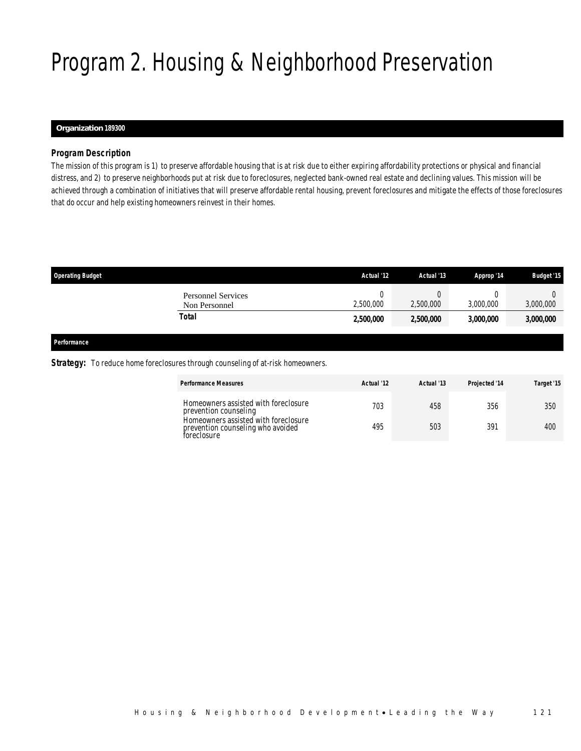# Program 2. Housing & Neighborhood Preservation

## *Organization 189300*

## *Program Description*

The mission of this program is 1) to preserve affordable housing that is at risk due to either expiring affordability protections or physical and financial distress, and 2) to preserve neighborhoods put at risk due to foreclosures, neglected bank-owned real estate and declining values. This mission will be achieved through a combination of initiatives that will preserve affordable rental housing, prevent foreclosures and mitigate the effects of those foreclosures that do occur and help existing homeowners reinvest in their homes.

| <b>Operating Budget</b>                    | Actual '12 | Actual '13       | Approp '14 | <b>Budget '15</b> |
|--------------------------------------------|------------|------------------|------------|-------------------|
| <b>Personnel Services</b><br>Non Personnel | 2,500,000  | 2,500,000        | 3,000,000  | 3,000,000         |
| Total                                      | 2,500,000  | <i>2,500,000</i> | 3,000,000  | 3,000,000         |
|                                            |            |                  |            |                   |

*Performance* 

### **Strategy:** To reduce home foreclosures through counseling of at-risk homeowners.

| <b>Performance Measures</b>                                                                                                                               | Actual '12 | Actual '13 | <b>Projected '14</b> | Target '15 |
|-----------------------------------------------------------------------------------------------------------------------------------------------------------|------------|------------|----------------------|------------|
| Homeowners assisted with foreclosure<br>prevention counseling<br>Homeowners assisted with foreclosure<br>prevention counseling who avoided<br>toreclosure | 703<br>495 | 458<br>503 | 356<br>391           | 350<br>400 |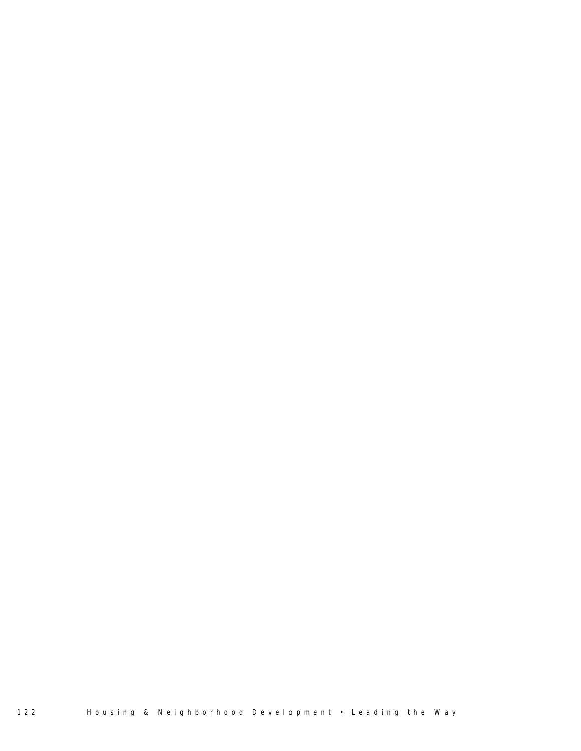122 Housing & Neighborhood De velopment • Leading the Way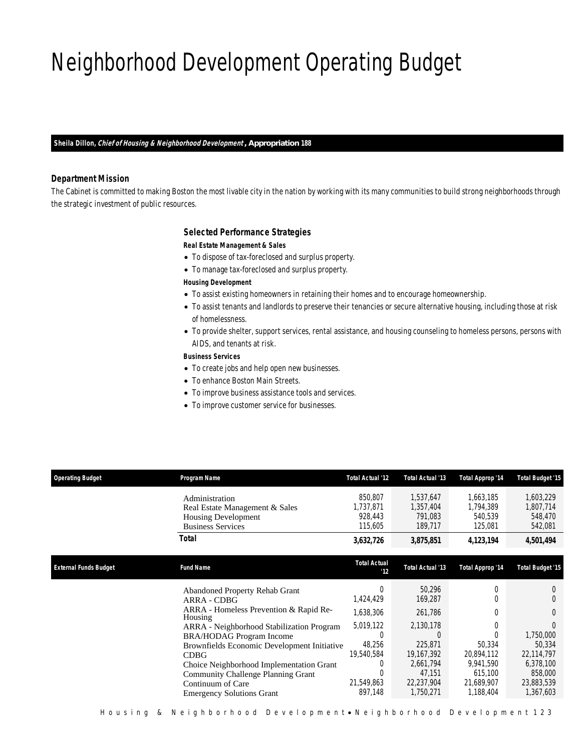# Neighborhood Development Operating Budget

*Sheila Dillon, Chief of Housing & Neighborhood Development , Appropriation 188* 

## *Department Mission*

The Cabinet is committed to making Boston the most livable city in the nation by working with its many communities to build strong neighborhoods through the strategic investment of public resources.

## *Selected Performance Strategies*

### *Real Estate Management & Sales*

- To dispose of tax-foreclosed and surplus property.
- To manage tax-foreclosed and surplus property.

## *Housing Development*

- To assist existing homeowners in retaining their homes and to encourage homeownership.
- To assist tenants and landlords to preserve their tenancies or secure alternative housing, including those at risk of homelessness.
- To provide shelter, support services, rental assistance, and housing counseling to homeless persons, persons with AIDS, and tenants at risk.

### *Business Services*

- To create jobs and help open new businesses.
- To enhance Boston Main Streets.
- To improve business assistance tools and services.
- To improve customer service for businesses.

| <b>Operating Budget</b>      | Program Name                                                                                                                                      | <b>Total Actual '12</b>                       | Total Actual '13                               | Total Approp '14                                | <b>Total Budget '15</b>                         |
|------------------------------|---------------------------------------------------------------------------------------------------------------------------------------------------|-----------------------------------------------|------------------------------------------------|-------------------------------------------------|-------------------------------------------------|
|                              | Administration<br>Real Estate Management & Sales<br><b>Housing Development</b><br><b>Business Services</b>                                        | 850,807<br>1,737,871<br>928,443<br>115,605    | 1,537,647<br>1,357,404<br>791,083<br>189,717   | 1,663,185<br>1,794,389<br>540,539<br>125,081    | 1,603,229<br>1,807,714<br>548,470<br>542,081    |
|                              | Total                                                                                                                                             | 3,632,726                                     | 3,875,851                                      | 4, 123, 194                                     | 4,501,494                                       |
| <b>External Funds Budget</b> | <b>Fund Name</b>                                                                                                                                  | <b>Total Actual</b><br>'12                    | Total Actual '13                               | Total Approp '14                                | <b>Total Budget '15</b>                         |
|                              | <b>Abandoned Property Rehab Grant</b><br>ARRA - CDBG                                                                                              | $\Omega$<br>1,424,429                         | 50,296<br>169,287                              | 0<br>0                                          | $\Omega$<br>$\Omega$                            |
|                              | ARRA - Homeless Prevention & Rapid Re-<br>Housing                                                                                                 | 1,638,306                                     | 261,786                                        | 0                                               | $\Omega$                                        |
|                              | <b>ARRA</b> - Neighborhood Stabilization Program<br><b>BRA/HODAG Program Income</b><br>Brownfields Economic Development Initiative<br><b>CDBG</b> | 5,019,122<br>0<br>48,256<br>19,540,584        | 2,130,178<br>$\left($<br>225,871<br>19,167,392 | 0<br>50,334<br>20,894,112                       | $\Omega$<br>1,750,000<br>50,334<br>22,114,797   |
|                              | Choice Neighborhood Implementation Grant<br>Community Challenge Planning Grant<br>Continuum of Care<br><b>Emergency Solutions Grant</b>           | $\left($<br>$\Omega$<br>21,549,863<br>897,148 | 2,661,794<br>47.151<br>22,237,904<br>1,750,271 | 9,941,590<br>615,100<br>21,689,907<br>1,188,404 | 6,378,100<br>858,000<br>23,883,539<br>1,367,603 |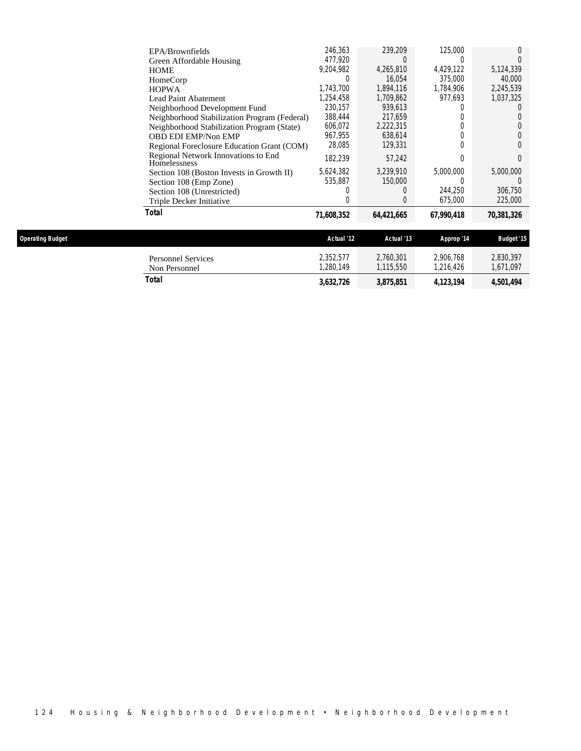| Total                                               | 71,608,352 | 64,421,665 | 67,990,418 | 70,381,326 |
|-----------------------------------------------------|------------|------------|------------|------------|
| Triple Decker Initiative                            |            | 0          | 675,000    | 225,000    |
| Section 108 (Unrestricted)                          |            |            | 244.250    | 306,750    |
| Section 108 (Emp Zone)                              | 535,887    | 150,000    |            |            |
| Section 108 (Boston Invests in Growth II)           | 5,624,382  | 3,239,910  | 5,000,000  | 5,000,000  |
| Regional Network Innovations to End<br>Homelessness | 182.239    | 57.242     | 0          | 0          |
| Regional Foreclosure Education Grant (COM)          | 28,085     | 129,331    | 0          | 0          |
| <b>OBD EDI EMP/Non EMP</b>                          | 967.955    | 638.614    |            |            |
| Neighborhood Stabilization Program (State)          | 606,072    | 2,222,315  |            |            |
| Neighborhood Stabilization Program (Federal)        | 388,444    | 217.659    |            |            |
| Neighborhood Development Fund                       | 230,157    | 939.613    |            |            |
| Lead Paint Abatement                                | 1.254.458  | 1,709,862  | 977.693    | 1,037,325  |
| <b>HOPWA</b>                                        | 1.743.700  | 1.894.116  | 1,784,906  | 2,245,539  |
| HomeCorp                                            |            | 16.054     | 375,000    | 40,000     |
| <b>HOME</b>                                         | 9,204,982  | 4,265,810  | 4,429,122  | 5,124,339  |
| Green Affordable Housing                            | 477.920    |            |            |            |
| EPA/Brownfields                                     | 246,363    | 239,209    | 125,000    |            |

| <b>Operating Budget</b>                    | Actual '12             | Actual '13            | Approp '14            | <b>Budget '15</b>      |
|--------------------------------------------|------------------------|-----------------------|-----------------------|------------------------|
| <b>Personnel Services</b><br>Non Personnel | 2.352.577<br>1.280.149 | 2,760,301<br>.115.550 | 2.906.768<br>.216.426 | 2,830,397<br>1,671,097 |
| Total                                      | 3,632,726              | 3,875,851             | 4,123,194             | 4,501,494              |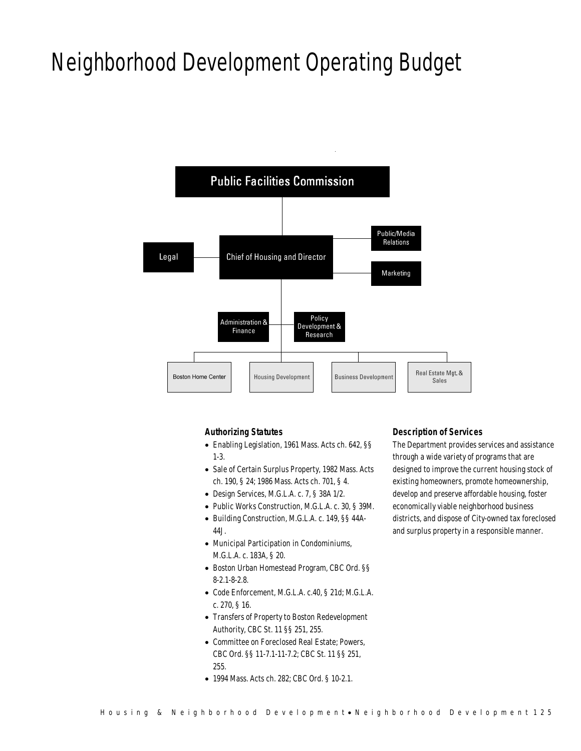# Neighborhood Development Operating Budget



## *Authorizing Statutes*

- Enabling Legislation, 1961 Mass. Acts ch. 642, §§ 1-3.
- Sale of Certain Surplus Property, 1982 Mass. Acts ch. 190, § 24; 1986 Mass. Acts ch. 701, § 4.
- Design Services, M.G.L.A. c. 7, § 38A 1/2.
- Public Works Construction, M.G.L.A. c. 30, § 39M.
- Building Construction, M.G.L.A. c. 149, §§ 44A-44J.
- Municipal Participation in Condominiums, M.G.L.A. c. 183A, § 20.
- Boston Urban Homestead Program, CBC Ord. §§ 8-2.1-8-2.8.
- Code Enforcement, M.G.L.A. c.40, § 21d; M.G.L.A. c. 270, § 16.
- Transfers of Property to Boston Redevelopment Authority, CBC St. 11 §§ 251, 255.
- Committee on Foreclosed Real Estate; Powers, CBC Ord. §§ 11-7.1-11-7.2; CBC St. 11 §§ 251, 255.
- 1994 Mass. Acts ch. 282; CBC Ord. § 10-2.1.

## *Description of Services*

The Department provides services and assistance through a wide variety of programs that are designed to improve the current housing stock of existing homeowners, promote homeownership, develop and preserve affordable housing, foster economically viable neighborhood business districts, and dispose of City-owned tax foreclosed and surplus property in a responsible manner.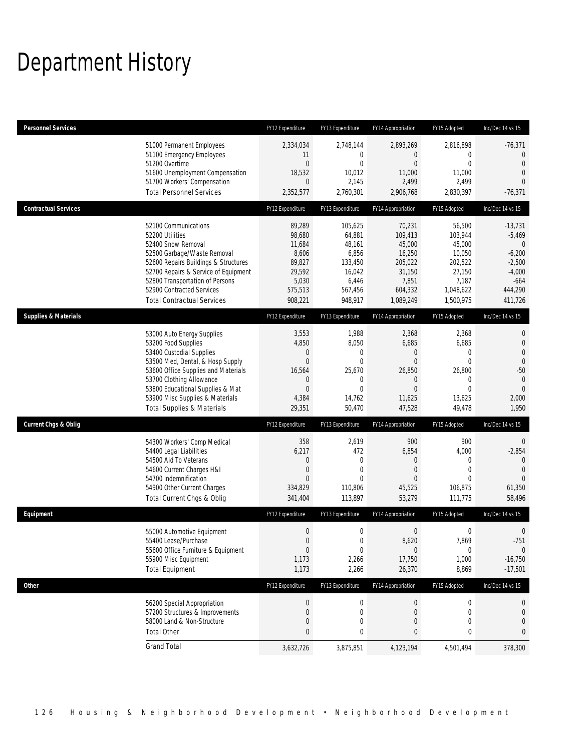# Department History

| <b>Personnel Services</b>       |                                                                                                                                                                                                                                                                                                      | FY12 Expenditure                                                                            | FY13 Expenditure                                                                                           | FY14 Appropriation                                                                          | FY15 Adopted                                                                                  | Inc/Dec 14 vs 15                                                                                           |
|---------------------------------|------------------------------------------------------------------------------------------------------------------------------------------------------------------------------------------------------------------------------------------------------------------------------------------------------|---------------------------------------------------------------------------------------------|------------------------------------------------------------------------------------------------------------|---------------------------------------------------------------------------------------------|-----------------------------------------------------------------------------------------------|------------------------------------------------------------------------------------------------------------|
|                                 | 51000 Permanent Employees<br>51100 Emergency Employees<br>51200 Overtime<br>51600 Unemployment Compensation<br>51700 Workers' Compensation<br><b>Total Personnel Services</b>                                                                                                                        | 2,334,034<br>11<br>$\mathbf{0}$<br>18,532<br>$\overline{0}$<br>2,352,577                    | 2,748,144<br>$\mathbf 0$<br>$\mathbf{0}$<br>10,012<br>2,145<br>2,760,301                                   | 2,893,269<br>0<br>$\mathbf{0}$<br>11,000<br>2,499<br>2,906,768                              | 2,816,898<br>0<br>0<br>11,000<br>2,499<br>2,830,397                                           | $-76,371$<br>$\overline{0}$<br>$\overline{0}$<br>$\mathbf 0$<br>$\Omega$<br>$-76,371$                      |
| <b>Contractual Services</b>     |                                                                                                                                                                                                                                                                                                      | FY12 Expenditure                                                                            | FY13 Expenditure                                                                                           | FY14 Appropriation                                                                          | FY15 Adopted                                                                                  | Inc/Dec 14 vs 15                                                                                           |
|                                 | 52100 Communications<br>52200 Utilities<br>52400 Snow Removal<br>52500 Garbage/Waste Removal<br>52600 Repairs Buildings & Structures<br>52700 Repairs & Service of Equipment<br>52800 Transportation of Persons<br>52900 Contracted Services<br><b>Total Contractual Services</b>                    | 89,289<br>98,680<br>11,684<br>8,606<br>89,827<br>29,592<br>5,030<br>575,513<br>908,221      | 105,625<br>64,881<br>48,161<br>6,856<br>133,450<br>16,042<br>6,446<br>567,456<br>948,917                   | 70,231<br>109,413<br>45,000<br>16,250<br>205,022<br>31,150<br>7,851<br>604,332<br>1,089,249 | 56,500<br>103,944<br>45,000<br>10,050<br>202,522<br>27,150<br>7,187<br>1,048,622<br>1,500,975 | $-13,731$<br>$-5,469$<br>$\mathbf{0}$<br>$-6,200$<br>$-2,500$<br>$-4,000$<br>$-664$<br>444,290<br>411,726  |
| <b>Supplies &amp; Materials</b> |                                                                                                                                                                                                                                                                                                      | FY12 Expenditure                                                                            | FY13 Expenditure                                                                                           | FY14 Appropriation                                                                          | FY15 Adopted                                                                                  | Inc/Dec 14 vs 15                                                                                           |
|                                 | 53000 Auto Energy Supplies<br>53200 Food Supplies<br>53400 Custodial Supplies<br>53500 Med, Dental, & Hosp Supply<br>53600 Office Supplies and Materials<br>53700 Clothing Allowance<br>53800 Educational Supplies & Mat<br>53900 Misc Supplies & Materials<br><b>Total Supplies &amp; Materials</b> | 3,553<br>4,850<br>0<br>$\boldsymbol{0}$<br>16,564<br>0<br>$\overline{0}$<br>4,384<br>29,351 | 1,988<br>8,050<br>$\mathbf 0$<br>$\mathbf{0}$<br>25,670<br>$\mathbf 0$<br>$\mathbf{0}$<br>14,762<br>50,470 | 2,368<br>6,685<br>0<br>$\mathbf{0}$<br>26,850<br>0<br>$\mathbf{0}$<br>11,625<br>47,528      | 2,368<br>6,685<br>0<br>0<br>26,800<br>0<br>0<br>13,625<br>49,478                              | 0<br>$\theta$<br>$\theta$<br>$\overline{0}$<br>$-50$<br>$\overline{0}$<br>$\overline{0}$<br>2,000<br>1,950 |
| <b>Current Chgs &amp; Oblig</b> |                                                                                                                                                                                                                                                                                                      | FY12 Expenditure                                                                            | FY13 Expenditure                                                                                           | FY14 Appropriation                                                                          | FY15 Adopted                                                                                  | Inc/Dec 14 vs 15                                                                                           |
|                                 | 54300 Workers' Comp Medical<br>54400 Legal Liabilities<br>54500 Aid To Veterans<br>54600 Current Charges H&I<br>54700 Indemnification<br>54900 Other Current Charges<br>Total Current Chgs & Oblig                                                                                                   | 358<br>6,217<br>0<br>$\overline{0}$<br>$\Omega$<br>334,829<br>341,404                       | 2,619<br>472<br>$\mathbf 0$<br>$\mathbf 0$<br>$\theta$<br>110,806<br>113,897                               | 900<br>6,854<br>0<br>$\overline{0}$<br>$\Omega$<br>45,525<br>53,279                         | 900<br>4,000<br>0<br>0<br>$\Omega$<br>106,875<br>111,775                                      | $\Omega$<br>$-2,854$<br>$\mathbf{0}$<br>$\overline{0}$<br>$\Omega$<br>61,350<br>58,496                     |
| Equipment                       |                                                                                                                                                                                                                                                                                                      | FY12 Expenditure                                                                            | FY13 Expenditure                                                                                           | FY14 Appropriation                                                                          | FY15 Adopted                                                                                  | Inc/Dec 14 vs 15                                                                                           |
|                                 | 55000 Automotive Equipment<br>55400 Lease/Purchase<br>55600 Office Furniture & Equipment<br>55900 Misc Equipment<br><b>Total Equipment</b>                                                                                                                                                           | $\boldsymbol{0}$<br>$\boldsymbol{0}$<br>$\boldsymbol{0}$<br>1,173<br>1,173                  | $\mathbf 0$<br>$\mathbf 0$<br>$\boldsymbol{0}$<br>2,266<br>2,266                                           | $\boldsymbol{0}$<br>8,620<br>$\boldsymbol{0}$<br>17,750<br>26,370                           | 0<br>7,869<br>0<br>1,000<br>8,869                                                             | $\mathbf 0$<br>$-751$<br>$\mathbf 0$<br>$-16,750$<br>$-17,501$                                             |
| <b>Other</b>                    |                                                                                                                                                                                                                                                                                                      | FY12 Expenditure                                                                            | FY13 Expenditure                                                                                           | FY14 Appropriation                                                                          | FY15 Adopted                                                                                  | Inc/Dec 14 vs 15                                                                                           |
|                                 | 56200 Special Appropriation<br>57200 Structures & Improvements<br>58000 Land & Non-Structure<br><b>Total Other</b>                                                                                                                                                                                   | 0<br>$\boldsymbol{0}$<br>0<br>0                                                             | $\boldsymbol{0}$<br>$\mathbf 0$<br>$\mathbf 0$<br>0                                                        | 0<br>0<br>0<br>$\bf 0$                                                                      | 0<br>$\boldsymbol{0}$<br>0<br>0                                                               | $\theta$<br>$\mathbf 0$<br>$\mathbf 0$<br>0                                                                |
|                                 | <b>Grand Total</b>                                                                                                                                                                                                                                                                                   | 3,632,726                                                                                   | 3,875,851                                                                                                  | 4,123,194                                                                                   | 4,501,494                                                                                     | 378,300                                                                                                    |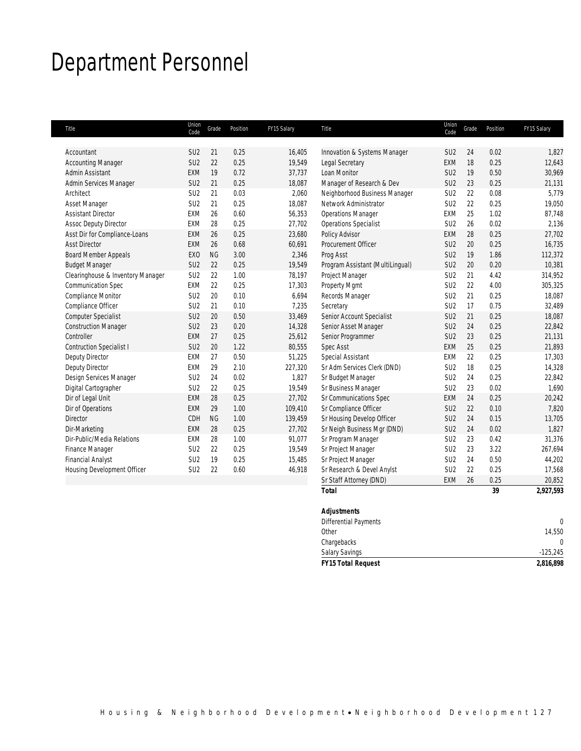# Department Personnel

I

| Title                             | Union<br>Code   | Grade     | Position | FY15 Salary | Title                            | Union<br>Code   | Grade | Position | FY15 Salary |
|-----------------------------------|-----------------|-----------|----------|-------------|----------------------------------|-----------------|-------|----------|-------------|
|                                   |                 |           |          |             |                                  |                 |       |          |             |
| Accountant                        | SU <sub>2</sub> | 21        | 0.25     | 16,405      | Innovation & Systems Manager     | SU <sub>2</sub> | 24    | 0.02     | 1,827       |
| <b>Accounting Manager</b>         | SU <sub>2</sub> | 22        | 0.25     | 19,549      | Legal Secretary                  | EXM             | 18    | 0.25     | 12,643      |
| Admin Assistant                   | <b>EXM</b>      | 19        | 0.72     | 37,737      | Loan Monitor                     | SU <sub>2</sub> | 19    | 0.50     | 30,969      |
| Admin Services Manager            | SU <sub>2</sub> | 21        | 0.25     | 18,087      | Manager of Research & Dev        | SU <sub>2</sub> | 23    | 0.25     | 21,131      |
| Architect                         | SU <sub>2</sub> | 21        | 0.03     | 2,060       | Neighborhood Business Manager    | SU <sub>2</sub> | 22    | 0.08     | 5,779       |
| Asset Manager                     | SU <sub>2</sub> | 21        | 0.25     | 18,087      | Network Administrator            | SU <sub>2</sub> | 22    | 0.25     | 19,050      |
| <b>Assistant Director</b>         | <b>EXM</b>      | 26        | 0.60     | 56,353      | <b>Operations Manager</b>        | EXM             | 25    | 1.02     | 87,748      |
| <b>Assoc Deputy Director</b>      | <b>EXM</b>      | 28        | 0.25     | 27,702      | <b>Operations Specialist</b>     | SU <sub>2</sub> | 26    | 0.02     | 2,136       |
| Asst Dir for Compliance-Loans     | <b>EXM</b>      | 26        | 0.25     | 23,680      | Policy Advisor                   | EXM             | 28    | 0.25     | 27,702      |
| <b>Asst Director</b>              | <b>EXM</b>      | 26        | 0.68     | 60,691      | Procurement Officer              | SU <sub>2</sub> | 20    | 0.25     | 16,735      |
| <b>Board Member Appeals</b>       | EX <sub>0</sub> | <b>NG</b> | 3.00     | 2,346       | Prog Asst                        | SU <sub>2</sub> | 19    | 1.86     | 112,372     |
| <b>Budget Manager</b>             | SU <sub>2</sub> | 22        | 0.25     | 19,549      | Program Assistant (MultiLingual) | SU <sub>2</sub> | 20    | 0.20     | 10,381      |
| Clearinghouse & Inventory Manager | SU <sub>2</sub> | 22        | 1.00     | 78,197      | Project Manager                  | SU <sub>2</sub> | 21    | 4.42     | 314,952     |
| Communication Spec                | <b>EXM</b>      | 22        | 0.25     | 17,303      | Property Mgmt                    | SU <sub>2</sub> | 22    | 4.00     | 305,325     |
| Compliance Monitor                | SU <sub>2</sub> | 20        | 0.10     | 6,694       | Records Manager                  | SU <sub>2</sub> | 21    | 0.25     | 18,087      |
| Compliance Officer                | SU <sub>2</sub> | 21        | 0.10     | 7,235       | Secretary                        | SU <sub>2</sub> | 17    | 0.75     | 32,489      |
| <b>Computer Specialist</b>        | SU <sub>2</sub> | 20        | 0.50     | 33,469      | Senior Account Specialist        | SU <sub>2</sub> | 21    | 0.25     | 18,087      |
| <b>Construction Manager</b>       | SU <sub>2</sub> | 23        | 0.20     | 14,328      | Senior Asset Manager             | SU <sub>2</sub> | 24    | 0.25     | 22,842      |
| Controller                        | <b>EXM</b>      | 27        | 0.25     | 25,612      | Senior Programmer                | SU <sub>2</sub> | 23    | 0.25     | 21,131      |
| <b>Contruction Specialist I</b>   | SU <sub>2</sub> | 20        | 1.22     | 80,555      | <b>Spec Asst</b>                 | EXM             | 25    | 0.25     | 21,893      |
| Deputy Director                   | <b>EXM</b>      | 27        | 0.50     | 51,225      | Special Assistant                | EXM             | 22    | 0.25     | 17,303      |
| Deputy Director                   | EXM             | 29        | 2.10     | 227,320     | Sr Adm Services Clerk (DND)      | SU <sub>2</sub> | 18    | 0.25     | 14,328      |
| Design Services Manager           | SU <sub>2</sub> | 24        | 0.02     | 1,827       | Sr Budget Manager                | SU <sub>2</sub> | 24    | 0.25     | 22,842      |
| Digital Cartographer              | SU <sub>2</sub> | 22        | 0.25     | 19,549      | Sr Business Manager              | SU <sub>2</sub> | 23    | 0.02     | 1,690       |
| Dir of Legal Unit                 | <b>EXM</b>      | 28        | 0.25     | 27,702      | Sr Communications Spec           | EXM             | 24    | 0.25     | 20,242      |
| Dir of Operations                 | EXM             | 29        | 1.00     | 109,410     | Sr Compliance Officer            | SU <sub>2</sub> | 22    | 0.10     | 7,820       |
| <b>Director</b>                   | CDH             | <b>NG</b> | 1.00     | 139,459     | Sr Housing Develop Officer       | SU <sub>2</sub> | 24    | 0.15     | 13,705      |
| Dir-Marketing                     | <b>EXM</b>      | 28        | 0.25     | 27,702      | Sr Neigh Business Mgr (DND)      | SU <sub>2</sub> | 24    | 0.02     | 1,827       |
| Dir-Public/Media Relations        | EXM             | 28        | 1.00     | 91,077      | Sr Program Manager               | SU <sub>2</sub> | 23    | 0.42     | 31,376      |
| Finance Manager                   | SU <sub>2</sub> | 22        | 0.25     | 19,549      | Sr Project Manager               | SU <sub>2</sub> | 23    | 3.22     | 267,694     |
| <b>Financial Analyst</b>          | SU <sub>2</sub> | 19        | 0.25     | 15,485      | Sr Project Manager               | SU <sub>2</sub> | 24    | 0.50     | 44,202      |
| Housing Development Officer       | SU <sub>2</sub> | 22        | 0.60     | 46,918      | Sr Research & Devel Anylst       | SU <sub>2</sub> | 22    | 0.25     | 17,568      |
|                                   |                 |           |          |             | Sr Staff Attorney (DND)          | <b>EXM</b>      | 26    | 0.25     | 20,852      |
|                                   |                 |           |          |             | <b>Total</b>                     |                 |       | 39       | 2,927,593   |

## *Adjustments*

| <b>FY15 Total Request</b>    | 2,816,898  |
|------------------------------|------------|
| <b>Salary Savings</b>        | $-125.245$ |
| Chargebacks                  |            |
| Other                        | 14.550     |
| <b>Differential Payments</b> |            |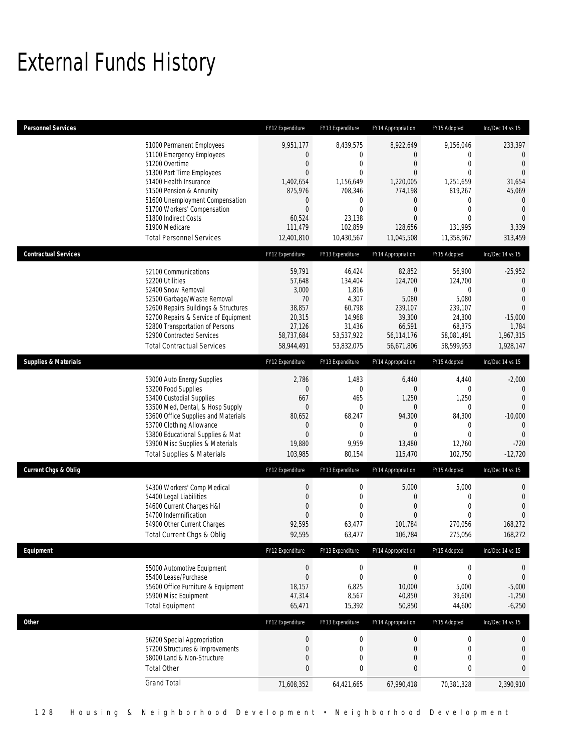# External Funds History

| <b>Personnel Services</b>       |                                                                                                                                                                                                                                                                                                            | FY12 Expenditure                                                                                                                              | FY13 Expenditure                                                                                                                                 | FY14 Appropriation                                                                                                                                    | FY15 Adopted                                                                                                                                     | Inc/Dec 14 vs 15                                                                                                                           |
|---------------------------------|------------------------------------------------------------------------------------------------------------------------------------------------------------------------------------------------------------------------------------------------------------------------------------------------------------|-----------------------------------------------------------------------------------------------------------------------------------------------|--------------------------------------------------------------------------------------------------------------------------------------------------|-------------------------------------------------------------------------------------------------------------------------------------------------------|--------------------------------------------------------------------------------------------------------------------------------------------------|--------------------------------------------------------------------------------------------------------------------------------------------|
|                                 | 51000 Permanent Employees<br>51100 Emergency Employees<br>51200 Overtime<br>51300 Part Time Employees<br>51400 Health Insurance<br>51500 Pension & Annunity<br>51600 Unemployment Compensation<br>51700 Workers' Compensation<br>51800 Indirect Costs<br>51900 Medicare<br><b>Total Personnel Services</b> | 9,951,177<br>$\theta$<br>$\boldsymbol{0}$<br>$\overline{0}$<br>1,402,654<br>875,976<br>0<br>$\overline{0}$<br>60,524<br>111,479<br>12,401,810 | 8,439,575<br>$\mathbf 0$<br>$\mathbf{0}$<br>$\theta$<br>1.156.649<br>708,346<br>$\mathbf 0$<br>$\overline{0}$<br>23,138<br>102.859<br>10,430,567 | 8,922,649<br>$\theta$<br>$\boldsymbol{0}$<br>$\overline{0}$<br>1,220,005<br>774,198<br>0<br>$\boldsymbol{0}$<br>$\mathbf{0}$<br>128.656<br>11,045,508 | 9,156,046<br>$\mathbf 0$<br>$\mathbf{0}$<br>$\Omega$<br>1.251.659<br>819,267<br>$\mathbf 0$<br>$\mathbf{0}$<br>$\Omega$<br>131.995<br>11,358,967 | 233,397<br>$\mathbf{0}$<br>$\overline{0}$<br>$\Omega$<br>31,654<br>45,069<br>$\mathbf 0$<br>$\overline{0}$<br>$\Omega$<br>3,339<br>313,459 |
| <b>Contractual Services</b>     |                                                                                                                                                                                                                                                                                                            | FY12 Expenditure                                                                                                                              | FY13 Expenditure                                                                                                                                 | FY14 Appropriation                                                                                                                                    | FY15 Adopted                                                                                                                                     | Inc/Dec 14 vs 15                                                                                                                           |
|                                 | 52100 Communications<br>52200 Utilities<br>52400 Snow Removal<br>52500 Garbage/Waste Removal<br>52600 Repairs Buildings & Structures<br>52700 Repairs & Service of Equipment<br>52800 Transportation of Persons<br>52900 Contracted Services<br><b>Total Contractual Services</b>                          | 59,791<br>57,648<br>3,000<br>70<br>38,857<br>20,315<br>27,126<br>58,737,684<br>58,944,491                                                     | 46,424<br>134,404<br>1,816<br>4,307<br>60,798<br>14,968<br>31,436<br>53,537,922<br>53,832,075                                                    | 82,852<br>124,700<br>$\mathbf{0}$<br>5,080<br>239,107<br>39,300<br>66,591<br>56,114,176<br>56,671,806                                                 | 56,900<br>124,700<br>$\mathbf{0}$<br>5,080<br>239,107<br>24,300<br>68,375<br>58,081,491<br>58,599,953                                            | $-25,952$<br>$\overline{0}$<br>$\mathbf{0}$<br>$\mathbf{0}$<br>$\overline{0}$<br>$-15,000$<br>1,784<br>1,967,315<br>1,928,147              |
| <b>Supplies &amp; Materials</b> |                                                                                                                                                                                                                                                                                                            | FY12 Expenditure                                                                                                                              | FY13 Expenditure                                                                                                                                 | FY14 Appropriation                                                                                                                                    | FY15 Adopted                                                                                                                                     | Inc/Dec 14 vs 15                                                                                                                           |
|                                 | 53000 Auto Energy Supplies<br>53200 Food Supplies<br>53400 Custodial Supplies<br>53500 Med, Dental, & Hosp Supply<br>53600 Office Supplies and Materials<br>53700 Clothing Allowance<br>53800 Educational Supplies & Mat<br>53900 Misc Supplies & Materials<br><b>Total Supplies &amp; Materials</b>       | 2,786<br>$\mathbf 0$<br>667<br>$\mathbf{0}$<br>80,652<br>$\mathbf{0}$<br>$\overline{0}$<br>19,880<br>103,985                                  | 1,483<br>$\mathbf 0$<br>465<br>$\mathbf{0}$<br>68,247<br>$\mathbf 0$<br>$\mathbf{0}$<br>9,959<br>80,154                                          | 6,440<br>$\overline{0}$<br>1,250<br>$\mathbf 0$<br>94,300<br>$\mathbf 0$<br>$\overline{0}$<br>13,480<br>115,470                                       | 4,440<br>$\mathbf 0$<br>1,250<br>$\mathbf 0$<br>84,300<br>$\mathbf 0$<br>$\Omega$<br>12,760<br>102,750                                           | $-2,000$<br>$\mathbf 0$<br>$\mathbf{0}$<br>$\mathbf{0}$<br>$-10,000$<br>$\overline{0}$<br>$\Omega$<br>$-720$<br>$-12,720$                  |
| <b>Current Chgs &amp; Oblig</b> |                                                                                                                                                                                                                                                                                                            | FY12 Expenditure                                                                                                                              | FY13 Expenditure                                                                                                                                 | FY14 Appropriation                                                                                                                                    | FY15 Adopted                                                                                                                                     | Inc/Dec 14 vs 15                                                                                                                           |
|                                 | 54300 Workers' Comp Medical<br>54400 Legal Liabilities<br>54600 Current Charges H&I<br>54700 Indemnification<br>54900 Other Current Charges<br>Total Current Chgs & Oblig                                                                                                                                  | $\boldsymbol{0}$<br>$\overline{0}$<br>$\overline{0}$<br>$\overline{0}$<br>92,595<br>92,595                                                    | $\boldsymbol{0}$<br>$\mathbf 0$<br>$\mathbf{0}$<br>$\mathbf{0}$<br>63,477<br>63,477                                                              | 5,000<br>$\mathbf 0$<br>$\mathbf 0$<br>$\mathbf{0}$<br>101,784<br>106,784                                                                             | 5,000<br>$\mathbf 0$<br>$\Omega$<br>$\mathbf{0}$<br>270,056<br>275,056                                                                           | $\mathbf 0$<br>$\mathbf 0$<br>$\theta$<br>$\theta$<br>168,272<br>168,272                                                                   |
| Equipment                       |                                                                                                                                                                                                                                                                                                            | FY12 Expenditure                                                                                                                              | FY13 Expenditure                                                                                                                                 | FY14 Appropriation                                                                                                                                    | FY15 Adopted                                                                                                                                     | Inc/Dec 14 vs 15                                                                                                                           |
|                                 | 55000 Automotive Equipment<br>55400 Lease/Purchase<br>55600 Office Furniture & Equipment<br>55900 Misc Equipment<br><b>Total Equipment</b>                                                                                                                                                                 | $\boldsymbol{0}$<br>$\boldsymbol{0}$<br>18,157<br>47,314<br>65,471                                                                            | $\boldsymbol{0}$<br>$\mathbf 0$<br>6,825<br>8,567<br>15,392                                                                                      | $\boldsymbol{0}$<br>$\boldsymbol{0}$<br>10,000<br>40,850<br>50,850                                                                                    | $\mathbf 0$<br>$\boldsymbol{0}$<br>5,000<br>39,600<br>44,600                                                                                     | $\mathbf 0$<br>$\mathbf 0$<br>$-5,000$<br>$-1,250$<br>$-6,250$                                                                             |
| <b>Other</b>                    |                                                                                                                                                                                                                                                                                                            | FY12 Expenditure                                                                                                                              | FY13 Expenditure                                                                                                                                 | FY14 Appropriation                                                                                                                                    | FY15 Adopted                                                                                                                                     | Inc/Dec 14 vs 15                                                                                                                           |
|                                 | 56200 Special Appropriation<br>57200 Structures & Improvements<br>58000 Land & Non-Structure<br><b>Total Other</b>                                                                                                                                                                                         | $\boldsymbol{0}$<br>$\boldsymbol{0}$<br>0<br>$\bf{0}$                                                                                         | $\boldsymbol{0}$<br>$\boldsymbol{0}$<br>$\boldsymbol{0}$<br>$\pmb{0}$                                                                            | $\boldsymbol{0}$<br>$\boldsymbol{0}$<br>$\boldsymbol{0}$<br>$\pmb{0}$                                                                                 | $\mathbf 0$<br>$\mathbf 0$<br>$\mathbf 0$<br>$\bf{0}$                                                                                            | $\mathbf 0$<br>$\bf{0}$<br>$\mathbf 0$<br>$\pmb{0}$                                                                                        |
|                                 | <b>Grand Total</b>                                                                                                                                                                                                                                                                                         | 71,608,352                                                                                                                                    | 64,421,665                                                                                                                                       | 67,990,418                                                                                                                                            | 70,381,328                                                                                                                                       | 2,390,910                                                                                                                                  |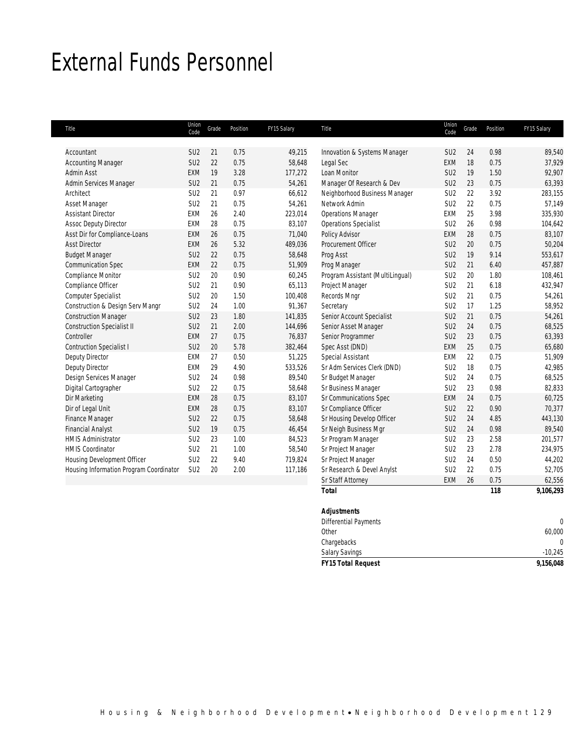# External Funds Personnel

| Title                                   | Union<br>Code   | Grade | Position | FY15 Salary | Title                            | Union<br>Code   | Grade | Position | FY15 Salary |
|-----------------------------------------|-----------------|-------|----------|-------------|----------------------------------|-----------------|-------|----------|-------------|
|                                         |                 |       |          |             |                                  |                 |       |          |             |
| Accountant                              | SU <sub>2</sub> | 21    | 0.75     | 49,215      | Innovation & Systems Manager     | SU <sub>2</sub> | 24    | 0.98     | 89,540      |
| <b>Accounting Manager</b>               | SU <sub>2</sub> | 22    | 0.75     | 58,648      | Legal Sec                        | EXM             | 18    | 0.75     | 37,929      |
| <b>Admin Asst</b>                       | <b>EXM</b>      | 19    | 3.28     | 177,272     | Loan Monitor                     | SU <sub>2</sub> | 19    | 1.50     | 92,907      |
| Admin Services Manager                  | SU <sub>2</sub> | 21    | 0.75     | 54,261      | Manager Of Research & Dev        | SU <sub>2</sub> | 23    | 0.75     | 63,393      |
| Architect                               | SU <sub>2</sub> | 21    | 0.97     | 66,612      | Neighborhood Business Manager    | SU <sub>2</sub> | 22    | 3.92     | 283,155     |
| Asset Manager                           | SU <sub>2</sub> | 21    | 0.75     | 54,261      | Network Admin                    | SU <sub>2</sub> | 22    | 0.75     | 57.149      |
| <b>Assistant Director</b>               | EXM             | 26    | 2.40     | 223,014     | <b>Operations Manager</b>        | EXM             | 25    | 3.98     | 335,930     |
| <b>Assoc Deputy Director</b>            | EXM             | 28    | 0.75     | 83,107      | <b>Operations Specialist</b>     | SU <sub>2</sub> | 26    | 0.98     | 104,642     |
| Asst Dir for Compliance-Loans           | <b>EXM</b>      | 26    | 0.75     | 71,040      | Policy Advisor                   | EXM             | 28    | 0.75     | 83,107      |
| <b>Asst Director</b>                    | EXM             | 26    | 5.32     | 489,036     | Procurement Officer              | SU <sub>2</sub> | 20    | 0.75     | 50,204      |
| <b>Budget Manager</b>                   | SU <sub>2</sub> | 22    | 0.75     | 58,648      | Prog Asst                        | SU <sub>2</sub> | 19    | 9.14     | 553,617     |
| Communication Spec                      | <b>EXM</b>      | 22    | 0.75     | 51,909      | Prog Manager                     | SU <sub>2</sub> | 21    | 6.40     | 457,887     |
| Compliance Monitor                      | SU <sub>2</sub> | 20    | 0.90     | 60,245      | Program Assistant (MultiLingual) | SU <sub>2</sub> | 20    | 1.80     | 108,461     |
| Compliance Officer                      | SU <sub>2</sub> | 21    | 0.90     | 65,113      | Project Manager                  | SU <sub>2</sub> | 21    | 6.18     | 432,947     |
| <b>Computer Specialist</b>              | SU <sub>2</sub> | 20    | 1.50     | 100,408     | Records Mngr                     | SU <sub>2</sub> | 21    | 0.75     | 54,261      |
| Construction & Design Serv Mangr        | SU <sub>2</sub> | 24    | 1.00     | 91,367      | Secretary                        | SU <sub>2</sub> | 17    | 1.25     | 58,952      |
| <b>Construction Manager</b>             | SU <sub>2</sub> | 23    | 1.80     | 141,835     | Senior Account Specialist        | SU <sub>2</sub> | 21    | 0.75     | 54,261      |
| <b>Construction Specialist II</b>       | SU <sub>2</sub> | 21    | 2.00     | 144,696     | Senior Asset Manager             | SU <sub>2</sub> | 24    | 0.75     | 68,525      |
| Controller                              | <b>EXM</b>      | 27    | 0.75     | 76,837      | Senior Programmer                | SU <sub>2</sub> | 23    | 0.75     | 63,393      |
| Contruction Specialist I                | SU <sub>2</sub> | 20    | 5.78     | 382,464     | Spec Asst (DND)                  | EXM             | 25    | 0.75     | 65,680      |
| Deputy Director                         | <b>EXM</b>      | 27    | 0.50     | 51,225      | Special Assistant                | EXM             | 22    | 0.75     | 51,909      |
| Deputy Director                         | <b>EXM</b>      | 29    | 4.90     | 533,526     | Sr Adm Services Clerk (DND)      | SU <sub>2</sub> | 18    | 0.75     | 42,985      |
| Design Services Manager                 | SU <sub>2</sub> | 24    | 0.98     | 89,540      | Sr Budget Manager                | SU <sub>2</sub> | 24    | 0.75     | 68,525      |
| Digital Cartographer                    | SU <sub>2</sub> | 22    | 0.75     | 58,648      | Sr Business Manager              | SU <sub>2</sub> | 23    | 0.98     | 82,833      |
| Dir Marketing                           | <b>EXM</b>      | 28    | 0.75     | 83,107      | Sr Communications Spec           | <b>EXM</b>      | 24    | 0.75     | 60,725      |
| Dir of Legal Unit                       | <b>EXM</b>      | 28    | 0.75     | 83,107      | Sr Compliance Officer            | SU <sub>2</sub> | 22    | 0.90     | 70,377      |
| Finance Manager                         | SU <sub>2</sub> | 22    | 0.75     | 58,648      | Sr Housing Develop Officer       | SU <sub>2</sub> | 24    | 4.85     | 443,130     |
| <b>Financial Analyst</b>                | SU <sub>2</sub> | 19    | 0.75     | 46,454      | Sr Neigh Business Mgr            | SU <sub>2</sub> | 24    | 0.98     | 89,540      |
| <b>HMIS Administrator</b>               | SU <sub>2</sub> | 23    | 1.00     | 84,523      | Sr Program Manager               | SU <sub>2</sub> | 23    | 2.58     | 201,577     |
| <b>HMIS Coordinator</b>                 | SU <sub>2</sub> | 21    | 1.00     | 58,540      | Sr Project Manager               | SU <sub>2</sub> | 23    | 2.78     | 234,975     |
| Housing Development Officer             | SU <sub>2</sub> | 22    | 9.40     | 719,824     | Sr Project Manager               | SU <sub>2</sub> | 24    | 0.50     | 44,202      |
| Housing Information Program Coordinator | SU <sub>2</sub> | 20    | 2.00     | 117,186     | Sr Research & Devel Anylst       | SU <sub>2</sub> | 22    | 0.75     | 52,705      |
|                                         |                 |       |          |             | Sr Staff Attorney                | <b>EXM</b>      | 26    | 0.75     | 62,556      |
|                                         |                 |       |          |             | <b>Total</b>                     |                 |       | 118      | 9,106,293   |

| <b>Adjustments</b>           |           |
|------------------------------|-----------|
| <b>Differential Payments</b> |           |
| Other                        | 60,000    |
| Chargebacks                  | 0         |
| <b>Salary Savings</b>        | $-10,245$ |
|                              |           |

*FY15 Total Request 9,156,048*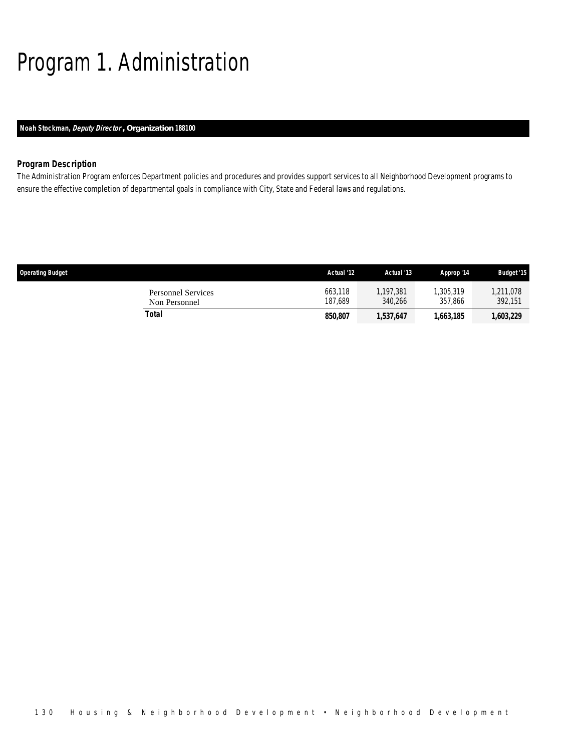# Program 1. Administration

## *Noah Stockman, Deputy Director , Organization 188100*

## *Program Description*

The Administration Program enforces Department policies and procedures and provides support services to all Neighborhood Development programs to ensure the effective completion of departmental goals in compliance with City, State and Federal laws and regulations.

| <b>Operating Budget</b> |                                     | Actual '12         | Actual '13          | Approp '14           | <b>Budget '15</b>   |
|-------------------------|-------------------------------------|--------------------|---------------------|----------------------|---------------------|
|                         | Personnel Services<br>Non Personnel | 663.118<br>187.689 | .197.381<br>340.266 | 1,305,319<br>357.866 | ,211,078<br>392,151 |
|                         | Total                               | 850,807            | 1,537,647           | 1,663,185            | 1,603,229           |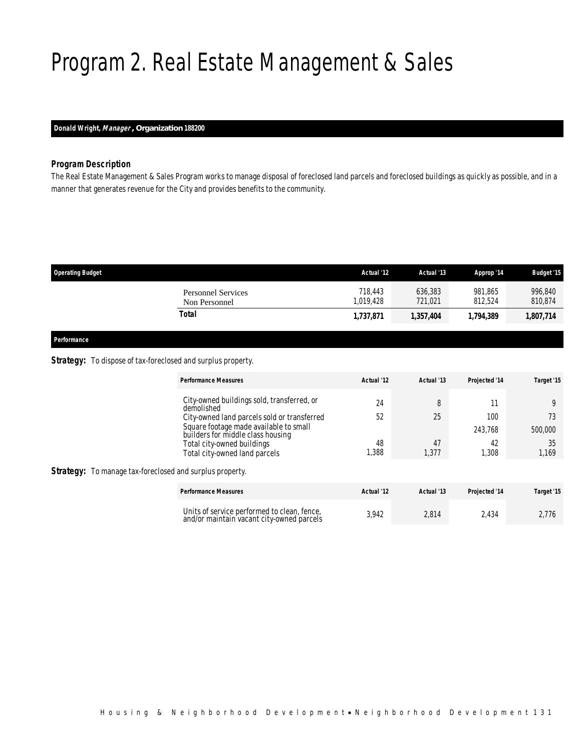# Program 2. Real Estate Management & Sales

## *Donald Wright, Manager , Organization 188200*

## *Program Description*

The Real Estate Management & Sales Program works to manage disposal of foreclosed land parcels and foreclosed buildings as quickly as possible, and in a manner that generates revenue for the City and provides benefits to the community.

| <b>Operating Budget</b>                    | Actual '12          | Actual '13         | Approp '14         | <b>Budget '15</b>  |
|--------------------------------------------|---------------------|--------------------|--------------------|--------------------|
| <b>Personnel Services</b><br>Non Personnel | 718,443<br>.019.428 | 636,383<br>721.021 | 981.865<br>812.524 | 996,840<br>810,874 |
| Total                                      | 1,737,871           | 1,357,404          | 1.794.389          | 1,807,714          |

*Performance* 

## **Strategy:** To dispose of tax-foreclosed and surplus property.

| <b>Performance Measures</b>                                                                                                                                                                                                                           | Actual '12             | Actual '13             | Projected '14                 | Target '15       |
|-------------------------------------------------------------------------------------------------------------------------------------------------------------------------------------------------------------------------------------------------------|------------------------|------------------------|-------------------------------|------------------|
| City-owned buildings sold, transferred, or<br>demolished<br>City-owned land parcels sold or transferred<br>Square footage made available to small<br>builders for middle class housing<br>Total city-owned buildings<br>Total city-owned land parcels | 24<br>52<br>48<br>,388 | 8<br>25<br>47<br>1,377 | 100<br>243,768<br>42<br>1,308 | 500,000<br>1,169 |

*Strategy:* To manage tax-foreclosed and surplus property.

| <b>Performance Measures</b>                                                              | Actual '12 | Actual '13 | <b>Projected '14</b> | Target '15 |
|------------------------------------------------------------------------------------------|------------|------------|----------------------|------------|
| Units of service performed to clean, fence,<br>and/or maintain vacant city-owned parcels | 3.942      | 2.814      | 2.434                | 2.776      |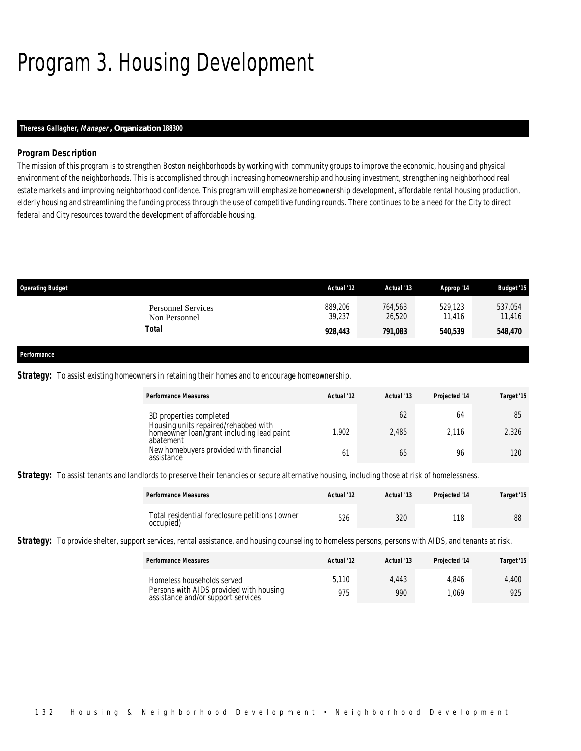# Program 3. Housing Development

## *Theresa Gallagher, Manager , Organization 188300*

## *Program Description*

The mission of this program is to strengthen Boston neighborhoods by working with community groups to improve the economic, housing and physical environment of the neighborhoods. This is accomplished through increasing homeownership and housing investment, strengthening neighborhood real estate markets and improving neighborhood confidence. This program will emphasize homeownership development, affordable rental housing production, elderly housing and streamlining the funding process through the use of competitive funding rounds. There continues to be a need for the City to direct federal and City resources toward the development of affordable housing.

| <b>Operating Budget</b>             | Actual '12        | Actual '13        | Approp '14        | <b>Budget '15</b> |
|-------------------------------------|-------------------|-------------------|-------------------|-------------------|
| Personnel Services<br>Non Personnel | 889.206<br>39.237 | 764,563<br>26.520 | 529.123<br>11.416 | 537,054<br>11.416 |
| Total                               | 928,443           | 791,083           | 540,539           | 548,470           |
|                                     |                   |                   |                   |                   |

## *Performance*

### **Strategy:** To assist existing homeowners in retaining their homes and to encourage homeownership.

| <b>Performance Measures</b>                                                                    | Actual '12 | Actual '13 | Projected '14 | Target '15 |
|------------------------------------------------------------------------------------------------|------------|------------|---------------|------------|
| 3D properties completed                                                                        |            | 62         | 64            | 85         |
| Housing units repaired/rehabbed with<br>homeowner loan/grant including lead paint<br>abatement | .902       | 2.485      | 2.116         | 2,326      |
| New homebuyers provided with financial<br>assistance                                           | 61         | 65         | 96            | 120        |

*Strategy:* To assist tenants and landlords to preserve their tenancies or secure alternative housing, including those at risk of homelessness.

| <b>Performance Measures</b>                                 | Actual '12 | Actual '13 | Projected '14 | Target '15 |
|-------------------------------------------------------------|------------|------------|---------------|------------|
| Total residential foreclosure petitions (owner<br>occupied) | 526        | 320        | 118           | 88         |

*Strategy:* To provide shelter, support services, rental assistance, and housing counseling to homeless persons, persons with AIDS, and tenants at risk.

| <b>Performance Measures</b>                                                   | Actual '12 | Actual '13 | <b>Projected '14</b> | Target '15 |
|-------------------------------------------------------------------------------|------------|------------|----------------------|------------|
| Homeless households served                                                    | 5.110      | 4.443      | 4.846                | 4.400      |
| Persons with AIDS provided with housing<br>assistance and/or support services | 975        | 990        | 069                  | 925        |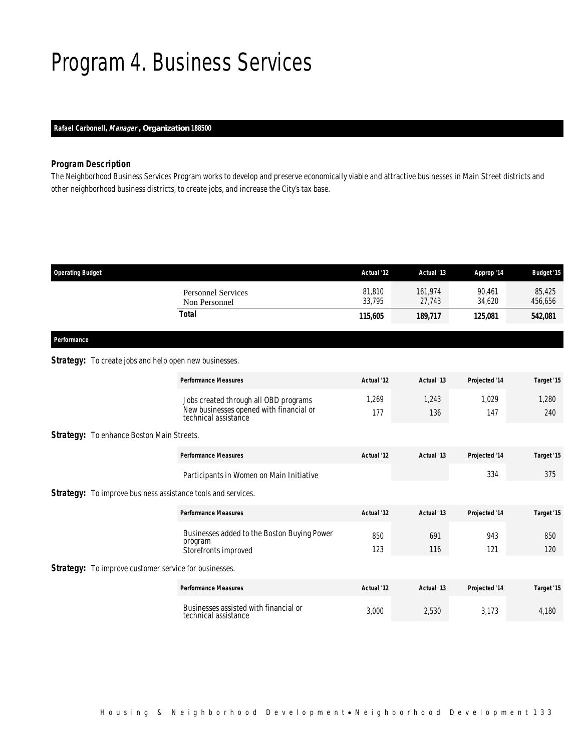# Program 4. Business Services

## *Rafael Carbonell, Manager , Organization 188500*

## *Program Description*

The Neighborhood Business Services Program works to develop and preserve economically viable and attractive businesses in Main Street districts and other neighborhood business districts, to create jobs, and increase the City's tax base.

| <b>Operating Budget</b> |                                                                     |                                                                                                          | Actual '12       | Actual '13        | Approp '14       | <b>Budget '15</b> |
|-------------------------|---------------------------------------------------------------------|----------------------------------------------------------------------------------------------------------|------------------|-------------------|------------------|-------------------|
|                         |                                                                     | <b>Personnel Services</b><br>Non Personnel                                                               | 81,810<br>33,795 | 161,974<br>27,743 | 90,461<br>34,620 | 85,425<br>456,656 |
|                         |                                                                     | <b>Total</b>                                                                                             | 115,605          | 189,717           | 125,081          | 542,081           |
| Performance             |                                                                     |                                                                                                          |                  |                   |                  |                   |
|                         | <b>Strategy:</b> To create jobs and help open new businesses.       |                                                                                                          |                  |                   |                  |                   |
|                         |                                                                     | <b>Performance Measures</b>                                                                              | Actual '12       | Actual '13        | Projected '14    | Target '15        |
|                         |                                                                     | Jobs created through all OBD programs<br>New businesses opened with financial or<br>technical assistance | 1,269<br>177     | 1,243<br>136      | 1.029<br>147     | 1.280<br>240      |
|                         | <b>Strategy:</b> To enhance Boston Main Streets.                    |                                                                                                          |                  |                   |                  |                   |
|                         |                                                                     | <b>Performance Measures</b>                                                                              | Actual '12       | Actual '13        | Projected '14    | Target '15        |
|                         |                                                                     | Participants in Women on Main Initiative                                                                 |                  |                   | 334              | 375               |
|                         | <b>Strategy:</b> To improve business assistance tools and services. |                                                                                                          |                  |                   |                  |                   |
|                         |                                                                     | <b>Performance Measures</b>                                                                              | Actual '12       | Actual '13        | Projected '14    | Target '15        |
|                         |                                                                     | Businesses added to the Boston Buying Power<br>program<br>Storefronts improved                           | 850<br>123       | 691<br>116        | 943<br>121       | 850<br>120        |
|                         | <b>Strategy:</b> To improve customer service for businesses.        |                                                                                                          |                  |                   |                  |                   |
|                         |                                                                     | <b>Performance Measures</b>                                                                              | Actual '12       | Actual '13        | Projected '14    | Target '15        |
|                         |                                                                     | Businesses assisted with financial or<br>technical assistance                                            | 3.000            | 2,530             | 3.173            | 4,180             |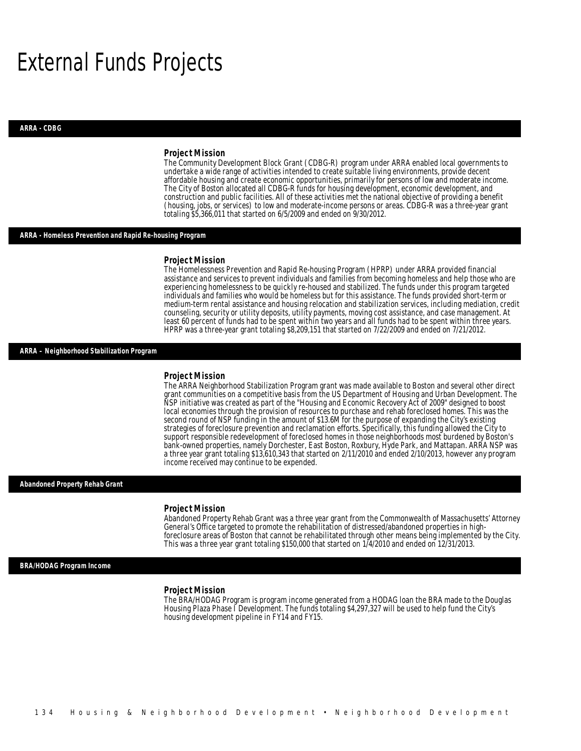# External Funds Projects

### *ARRA - CDBG*

### *Project Mission*

The Community Development Block Grant (CDBG-R) program under ARRA enabled local governments to undertake a wide range of activities intended to create suitable living environments, provide decent affordable housing and create economic opportunities, primarily for persons of low and moderate income. The City of Boston allocated all CDBG-R funds for housing development, economic development, and construction and public facilities. All of these activities met the national objective of providing a benefit (housing, jobs, or services) to low and moderate-income persons or areas. CDBG-R was a three-year grant totaling \$5,366,011 that started on 6/5/2009 and ended on 9/30/2012.

### *ARRA - Homeless Prevention and Rapid Re-housing Program*

#### *Project Mission*

The Homelessness Prevention and Rapid Re-housing Program (HPRP) under ARRA provided financial assistance and services to prevent individuals and families from becoming homeless and help those who are experiencing homelessness to be quickly re-housed and stabilized. The funds under this program targeted individuals and families who would be homeless but for this assistance. The funds provided short-term or medium-term rental assistance and housing relocation and stabilization services, including mediation, credit counseling, security or utility deposits, utility payments, moving cost assistance, and case management. At least 60 percent of funds had to be spent within two years and all funds had to be spent within three years. HPRP was a three-year grant totaling \$8,209,151 that started on 7/22/2009 and ended on 7/21/2012.

*ARRA – Neighborhood Stabilization Program* 

### *Project Mission*

The ARRA Neighborhood Stabilization Program grant was made available to Boston and several other direct grant communities on a competitive basis from the US Department of Housing and Urban Development. The NSP initiative was created as part of the "Housing and Economic Recovery Act of 2009" designed to boost local economies through the provision of resources to purchase and rehab foreclosed homes. This was the second round of NSP funding in the amount of \$13.6M for the purpose of expanding the City's existing strategies of foreclosure prevention and reclamation efforts. Specifically, this funding allowed the City to support responsible redevelopment of foreclosed homes in those neighborhoods most burdened by Boston's bank-owned properties, namely Dorchester, East Boston, Roxbury, Hyde Park, and Mattapan. ARRA NSP was a three year grant totaling \$13,610,343 that started on 2/11/2010 and ended 2/10/2013, however any program income received may continue to be expended.

## *Abandoned Property Rehab Grant*

#### *Project Mission*

Abandoned Property Rehab Grant was a three year grant from the Commonwealth of Massachusetts' Attorney General's Office targeted to promote the rehabilitation of distressed/abandoned properties in highforeclosure areas of Boston that cannot be rehabilitated through other means being implemented by the City. This was a three year grant totaling \$150,000 that started on 1/4/2010 and ended on 12/31/2013.

#### *BRA/HODAG Program Income*

#### *Project Mission*

The BRA/HODAG Program is program income generated from a HODAG loan the BRA made to the Douglas Housing Plaza Phase I Development. The funds totaling \$4,297,327 will be used to help fund the City's housing development pipeline in FY14 and FY15.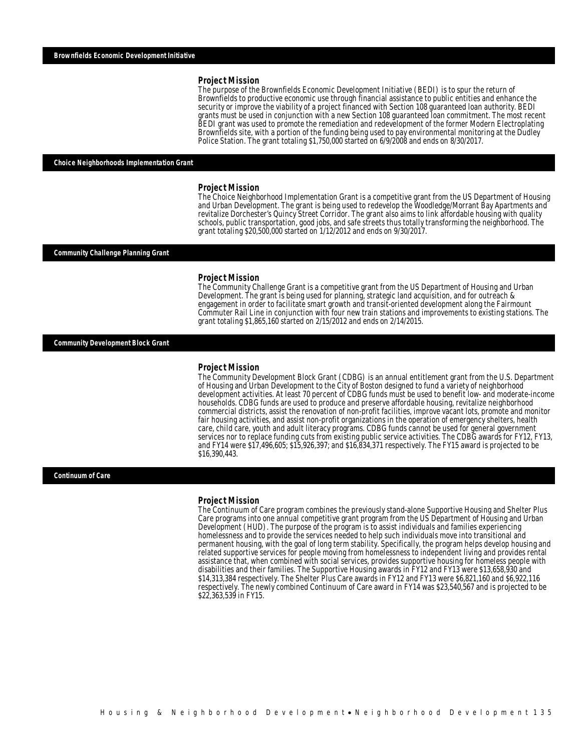The purpose of the Brownfields Economic Development Initiative (BEDI) is to spur the return of Brownfields to productive economic use through financial assistance to public entities and enhance the security or improve the viability of a project financed with Section 108 guaranteed loan authority. BEDI grants must be used in conjunction with a new Section 108 guaranteed loan commitment. The most recent BEDI grant was used to promote the remediation and redevelopment of the former Modern Electroplating Brownfields site, with a portion of the funding being used to pay environmental monitoring at the Dudley Police Station. The grant totaling \$1,750,000 started on 6/9/2008 and ends on 8/30/2017.

### *Choice Neighborhoods Implementation Grant*

### *Project Mission*

The Choice Neighborhood Implementation Grant is a competitive grant from the US Department of Housing and Urban Development. The grant is being used to redevelop the Woodledge/Morrant Bay Apartments and revitalize Dorchester's Quincy Street Corridor. The grant also aims to link affordable housing with quality schools, public transportation, good jobs, and safe streets thus totally transforming the neighborhood. The grant totaling \$20,500,000 started on 1/12/2012 and ends on 9/30/2017.

#### *Community Challenge Planning Grant*

#### *Project Mission*

The Community Challenge Grant is a competitive grant from the US Department of Housing and Urban Development. The grant is being used for planning, strategic land acquisition, and for outreach & engagement in order to facilitate smart growth and transit-oriented development along the Fairmount Commuter Rail Line in conjunction with four new train stations and improvements to existing stations. The grant totaling \$1,865,160 started on 2/15/2012 and ends on 2/14/2015.

## *Community Development Block Grant*

#### *Project Mission*

Ì

The Community Development Block Grant (CDBG) is an annual entitlement grant from the U.S. Department of Housing and Urban Development to the City of Boston designed to fund a variety of neighborhood development activities. At least 70 percent of CDBG funds must be used to benefit low- and moderate-income households. CDBG funds are used to produce and preserve affordable housing, revitalize neighborhood commercial districts, assist the renovation of non-profit facilities, improve vacant lots, promote and monitor fair housing activities, and assist non-profit organizations in the operation of emergency shelters, health care, child care, youth and adult literacy programs. CDBG funds cannot be used for general government services nor to replace funding cuts from existing public service activities. The CDBG awards for FY12, FY13, and FY14 were \$17,496,605; \$15,926,397; and \$16,834,371 respectively. The FY15 award is projected to be \$16,390,443.

### *Continuum of Care*

#### *Project Mission*

The Continuum of Care program combines the previously stand-alone Supportive Housing and Shelter Plus Development (HUD). The purpose of the program is to assist individuals and families experiencing homelessness and to provide the services needed to help such individuals move into transitional and permanent housing, with the goal of long term stability. Specifically, the program helps develop housing and related supportive services for people moving from homelessness to independent living and provides rental assistance that, when combined with social services, provides supportive housing for homeless people with disabilities and their families. The Supportive Housing awards in FY12 and FY13 were \$13,658,930 and \$14,313,384 respectively. The Shelter Plus Care awards in FY12 and FY13 were \$6,821,160 and \$6,922,116 respectively. The newly combined Continuum of Care award in FY14 was \$23,540,567 and is projected to be \$22,363,539 in FY15.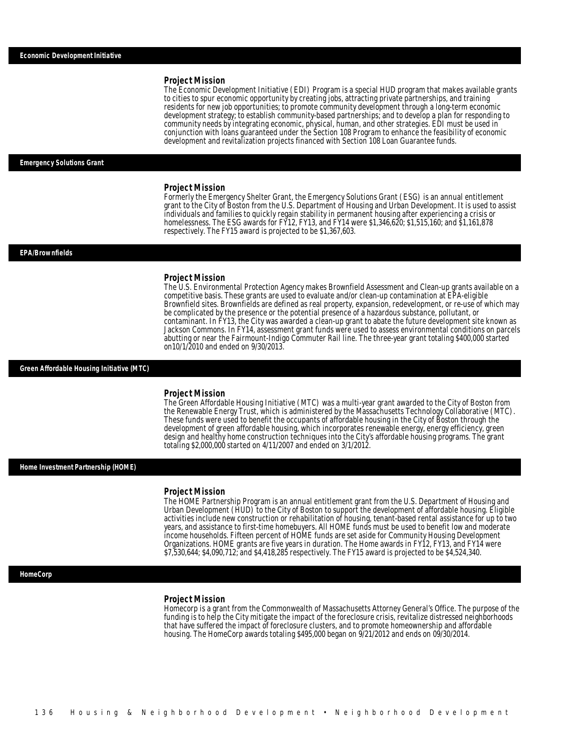The Economic Development Initiative (EDI) Program is a special HUD program that makes available grants to cities to spur economic opportunity by creating jobs, attracting private partnerships, and training residents for new job opportunities; to promote community development through a long-term economic development strategy; to establish community-based partnerships; and to develop a plan for responding to community needs by integrating economic, physical, human, and other strategies. EDI must be used in conjunction with loans guaranteed under the Section 108 Program to enhance the feasibility of economic development and revitalization projects financed with Section 108 Loan Guarantee funds.

### *Emergency Solutions Grant*

### *Project Mission*

Formerly the Emergency Shelter Grant, the Emergency Solutions Grant (ESG) is an annual entitlement grant to the City of Boston from the U.S. Department of Housing and Urban Development. It is used to assist individuals and families to quickly regain stability in permanent housing after experiencing a crisis or homelessness. The ESG awards for FY12, FY13, and FY14 were \$1,346,620; \$1,515,160; and \$1,161,878 respectively. The FY15 award is projected to be \$1,367,603.

#### *EPA/Brownfields*

#### *Project Mission*

The U.S. Environmental Protection Agency makes Brownfield Assessment and Clean-up grants available on a competitive basis. These grants are used to evaluate and/or clean-up contamination at EPA-eligible Brownfield sites. Brownfields are defined as real property, expansion, redevelopment, or re-use of which may be complicated by the presence or the potential presence of a hazardous substance, pollutant, or contaminant. In FY13, the City was awarded a clean-up grant to abate the future development site known as Jackson Commons. In FY14, assessment grant funds were used to assess environmental conditions on parcels abutting or near the Fairmount-Indigo Commuter Rail line. The three-year grant totaling \$400,000 started on10/1/2010 and ended on 9/30/2013.

#### *Green Affordable Housing Initiative (MTC)*

#### *Project Mission*

The Green Affordable Housing Initiative (MTC) was a multi-year grant awarded to the City of Boston from the Renewable Energy Trust, which is administered by the Massachusetts Technology Collaborative (MTC). These funds were used to benefit the occupants of affordable housing in the City of Boston through the development of green affordable housing, which incorporates renewable energy, energy efficiency, green design and healthy home construction techniques into the City's affordable housing programs. The grant totaling \$2,000,000 started on 4/11/2007 and ended on 3/1/2012.

### *Home Investment Partnership (HOME)*

#### *Project Mission*

The HOME Partnership Program is an annual entitlement grant from the U.S. Department of Housing and Urban Development (HUD) to the City of Boston to support the development of affordable housing. Eligible activities include new construction or rehabilitation of housing, tenant-based rental assistance for up to two years, and assistance to first-time homebuyers. All HOME funds must be used to benefit low and moderate income households. Fifteen percent of HOME funds are set aside for Community Housing Development Organizations. HOME grants are five years in duration. The Home awards in FY12, FY13, and FY14 were \$7,530,644; \$4,090,712; and \$4,418,285 respectively. The FY15 award is projected to be \$4,524,340.

#### *HomeCorp*

### *Project Mission*

Homecorp is a grant from the Commonwealth of Massachusetts Attorney General's Office. The purpose of the funding is to help the City mitigate the impact of the foreclosure crisis, revitalize distressed neighborhoods that have suffered the impact of foreclosure clusters, and to promote homeownership and affordable housing. The HomeCorp awards totaling \$495,000 began on  $9/21/2012$  and ends on 09/30/2014.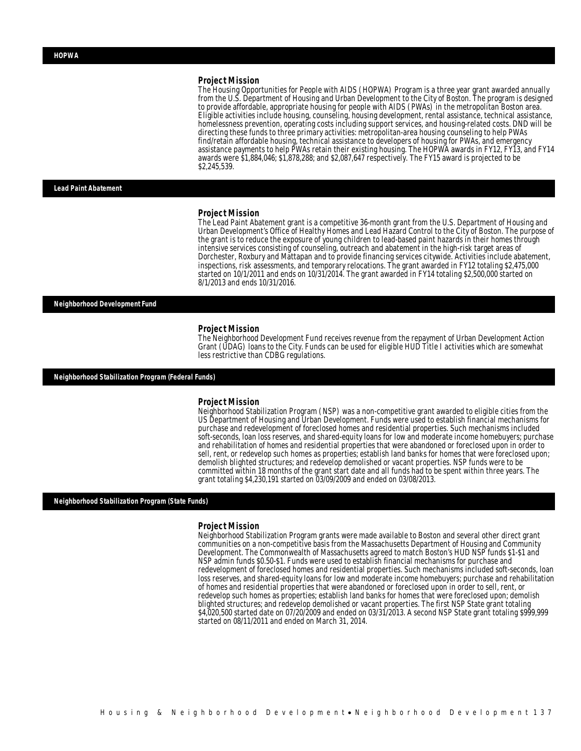The Housing Opportunities for People with AIDS (HOPWA) Program is a three year grant awarded annually from the U.S. Department of Housing and Urban Development to the City of Boston. The program is designed to provide affordable, appropriate housing for people with AIDS (PWAs) in the metropolitan Boston area. Eligible activities include housing, counseling, housing development, rental assistance, technical assistance, homelessness prevention, operating costs including support services, and housing-related costs. DND will be directing these funds to three primary activities: metropolitan-area housing counseling to help PWAs find/retain affordable housing, technical assistance to developers of housing for PWAs, and emergency assistance payments to help PWAs retain their existing housing. The HOPWA awards in FY12, FY13, and FY14 awards were \$1,884,046; \$1,878,288; and \$2,087,647 respectively. The FY15 award is projected to be \$2,245,539.

*Lead Paint Abatement* 

#### *Project Mission*

The Lead Paint Abatement grant is a competitive 36-month grant from the U.S. Department of Housing and Urban Development's Office of Healthy Homes and Lead Hazard Control to the City of Boston. The purpose of the grant is to reduce the exposure of young children to lead-based paint hazards in their homes through intensive services consisting of counseling, outreach and abatement in the high-risk target areas of Dorchester, Roxbury and Mattapan and to provide financing services citywide. Activities include abatement, inspections, risk assessments, and temporary relocations. The grant awarded in FY12 totaling \$2,475,000 started on 10/1/2011 and ends on 10/31/2014. The grant awarded in FY14 totaling \$2,500,000 started on 8/1/2013 and ends 10/31/2016.

*Neighborhood Development Fund* 

### *Project Mission*

The Neighborhood Development Fund receives revenue from the repayment of Urban Development Action Grant (UDAG) loans to the City. Funds can be used for eligible HUD Title I activities which are somewhat less restrictive than CDBG regulations.

#### *Neighborhood Stabilization Program (Federal Funds)*

### *Project Mission*

Neighborhood Stabilization Program (NSP) was a non-competitive grant awarded to eligible cities from the US Department of Housing and Urban Development. Funds were used to establish financial mechanisms for purchase and redevelopment of foreclosed homes and residential properties. Such mechanisms included soft-seconds, loan loss reserves, and shared-equity loans for low and moderate income homebuyers; purchase and rehabilitation of homes and residential properties that were abandoned or foreclosed upon in order to sell, rent, or redevelop such homes as properties; establish land banks for homes that were foreclosed upon; demolish blighted structures; and redevelop demolished or vacant properties. NSP funds were to be committed within 18 months of the grant start date and all funds had to be spent within three years. The grant totaling \$4,230,191 started on 03/09/2009 and ended on 03/08/2013. Ì

### *Neighborhood Stabilization Program (State Funds)*

## *Project Mission*

Neighborhood Stabilization Program grants were made available to Boston and several other direct grant communities on a non-competitive basis from the Massachusetts Department of Housing and Community Development. The Commonwealth of Massachusetts agreed to match Boston's HUD NSP funds \$1-\$1 and NSP admin funds \$0.50-\$1. Funds were used to establish financial mechanisms for purchase and redevelopment of foreclosed homes and residential properties. Such mechanisms included soft-seconds, loan loss reserves, and shared-equity loans for low and moderate income homebuyers; purchase and rehabilitation of homes and residential properties that were abandoned or foreclosed upon in order to sell, rent, or redevelop such homes as properties; establish land banks for homes that were foreclosed upon; demolish blighted structures; and redevelop demolished or vacant properties. The first NSP State grant totaling \$4,020,500 started date on 07/20/2009 and ended on 03/31/2013. A second NSP State grant totaling \$999,999 started on 08/11/2011 and ended on March 31, 2014.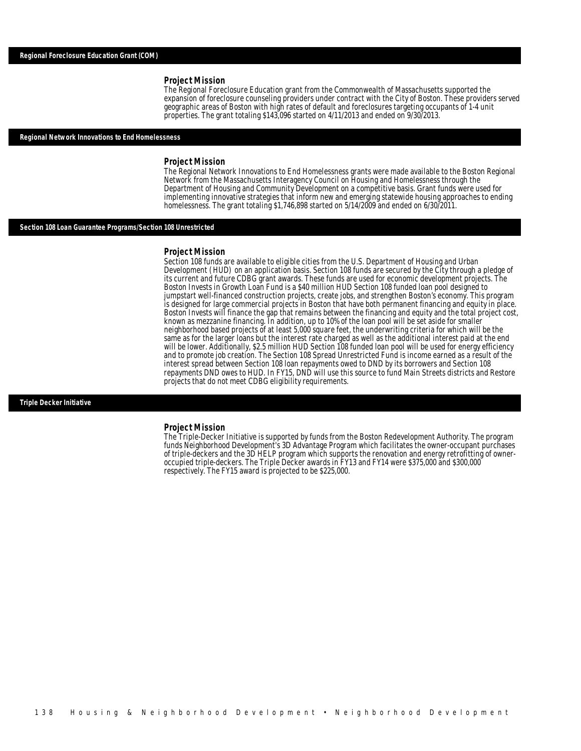The Regional Foreclosure Education grant from the Commonwealth of Massachusetts supported the expansion of foreclosure counseling providers under contract with the City of Boston. These providers served geographic areas of Boston with high rates of default and foreclosures targeting occupants of 1-4 unit properties. The grant totaling \$143,096 started on 4/11/2013 and ended on 9/30/2013.

#### *Regional Network Innovations to End Homelessness*

#### *Project Mission*

Î

The Regional Network Innovations to End Homelessness grants were made available to the Boston Regional Network from the Massachusetts Interagency Council on Housing and Homelessness through the Department of Housing and Community Development on a competitive basis. Grant funds were used for implementing innovative strategies that inform new and emerging statewide housing approaches to ending homelessness. The grant totaling \$1,746,898 started on 5/14/2009 and ended on 6/30/2011.

### *Section 108 Loan Guarantee Programs/Section 108 Unrestricted*

#### *Project Mission*

Section 108 funds are available to eligible cities from the U.S. Department of Housing and Urban Development (HUD) on an application basis. Section 108 funds are secured by the City through a pledge of its current and future CDBG grant awards. These funds are used for economic development projects. The Boston Invests in Growth Loan Fund is a \$40 million HUD Section 108 funded loan pool designed to jumpstart well-financed construction projects, create jobs, and strengthen Boston's economy. This program is designed for large commercial projects in Boston that have both permanent financing and equity in place. Boston Invests will finance the gap that remains between the financing and equity and the total project cost, known as mezzanine financing. In addition, up to 10% of the loan pool will be set aside for smaller neighborhood based projects of at least 5,000 square feet, the underwriting criteria for which will be the same as for the larger loans but the interest rate charged as well as the additional interest paid at the end will be lower. Additionally, \$2.5 million HUD Section 108 funded loan pool will be used for energy efficiency and to promote job creation. The Section 108 Spread Unrestricted Fund is income earned as a result of the interest spread between Section 108 loan repayments owed to DND by its borrowers and Section 108 repayments DND owes to HUD. In FY15, DND will use this source to fund Main Streets districts and Restore projects that do not meet CDBG eligibility requirements.

#### *Triple Decker Initiative*

### *Project Mission*

Î

The Triple-Decker Initiative is supported by funds from the Boston Redevelopment Authority. The program funds Neighborhood Development's 3D Advantage Program which facilitates the owner-occupant purchases of triple-deckers and the 3D HELP program which supports the renovation and energy retrofitting of owneroccupied triple-deckers. The Triple Decker awards in FY13 and FY14 were \$375,000 and \$300,000 respectively. The FY15 award is projected to be \$225,000.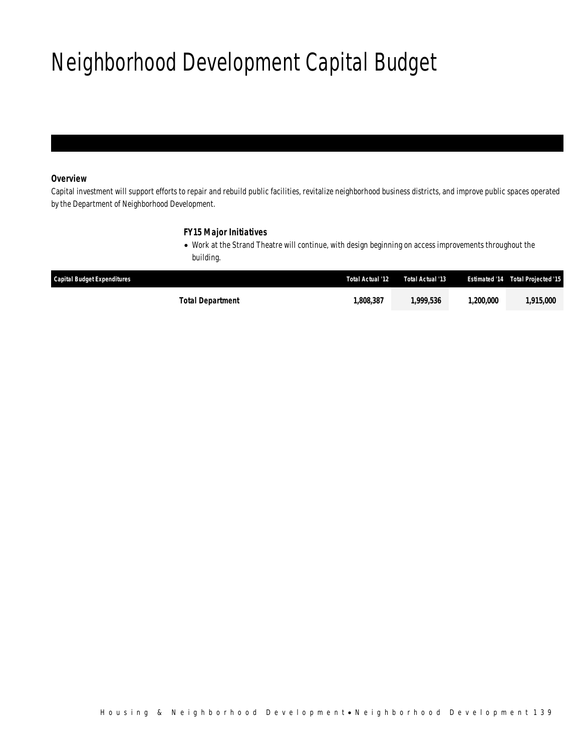# Neighborhood Development Capital Budget

## *Overview*

Capital investment will support efforts to repair and rebuild public facilities, revitalize neighborhood business districts, and improve public spaces operated by the Department of Neighborhood Development.

## *FY15 Major Initiatives*

• Work at the Strand Theatre will continue, with design beginning on access improvements throughout the building.

| <b>Capital Budget Expenditures</b> | Total Actual '12 | Total Actual '13 | <b>Estimated '14</b> | <b>Total Projected '15</b> |
|------------------------------------|------------------|------------------|----------------------|----------------------------|
| Total Department                   | .808.387         | .999.536         | 200.000              | ,915,000                   |